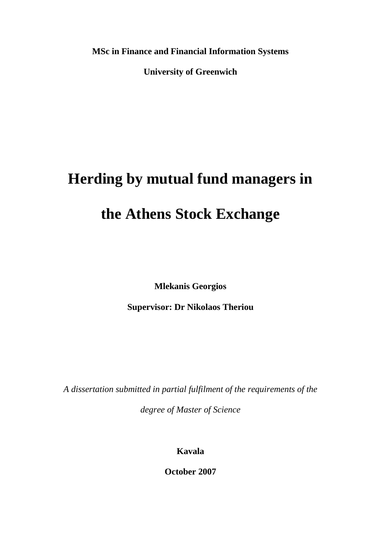**MSc in Finance and Financial Information Systems**

**University of Greenwich**

# **Herding by mutual fund managers in**

## **the Athens Stock Exchange**

**Mlekanis Georgios**

**Supervisor: Dr Nikolaos Theriou**

*A dissertation submitted in partial fulfilment of the requirements of the degree of Master of Science*

**Kavala**

**October 2007**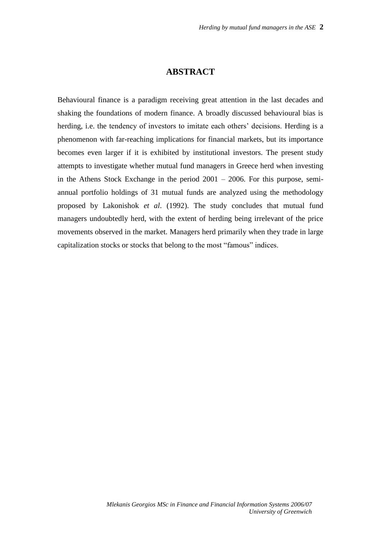#### **ABSTRACT**

Behavioural finance is a paradigm receiving great attention in the last decades and shaking the foundations of modern finance. A broadly discussed behavioural bias is herding, i.e. the tendency of investors to imitate each others' decisions. Herding is a phenomenon with far-reaching implications for financial markets, but its importance becomes even larger if it is exhibited by institutional investors. The present study attempts to investigate whether mutual fund managers in Greece herd when investing in the Athens Stock Exchange in the period 2001 – 2006. For this purpose, semiannual portfolio holdings of 31 mutual funds are analyzed using the methodology proposed by Lakonishok *et al*. (1992). The study concludes that mutual fund managers undoubtedly herd, with the extent of herding being irrelevant of the price movements observed in the market. Managers herd primarily when they trade in large capitalization stocks or stocks that belong to the most "famous" indices.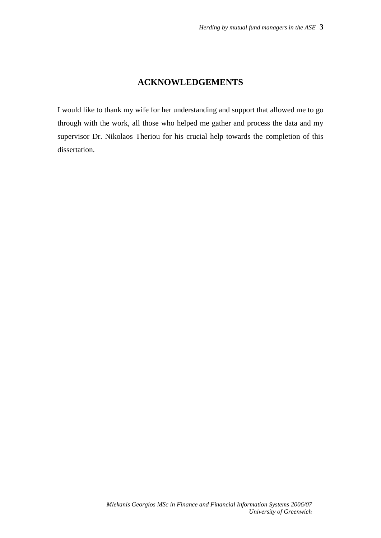## **ACKNOWLEDGEMENTS**

I would like to thank my wife for her understanding and support that allowed me to go through with the work, all those who helped me gather and process the data and my supervisor Dr. Nikolaos Theriou for his crucial help towards the completion of this dissertation.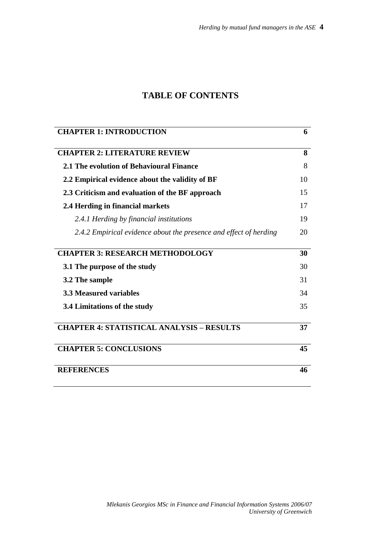## **TABLE OF CONTENTS**

| <b>CHAPTER 1: INTRODUCTION</b>                                    | 6  |
|-------------------------------------------------------------------|----|
| <b>CHAPTER 2: LITERATURE REVIEW</b>                               | 8  |
| 2.1 The evolution of Behavioural Finance                          | 8  |
| 2.2 Empirical evidence about the validity of BF                   | 10 |
| 2.3 Criticism and evaluation of the BF approach                   | 15 |
| 2.4 Herding in financial markets                                  | 17 |
| 2.4.1 Herding by financial institutions                           | 19 |
| 2.4.2 Empirical evidence about the presence and effect of herding | 20 |
| <b>CHAPTER 3: RESEARCH METHODOLOGY</b>                            | 30 |
|                                                                   |    |
| 3.1 The purpose of the study                                      | 30 |
| 3.2 The sample                                                    | 31 |
| <b>3.3 Measured variables</b>                                     | 34 |
| 3.4 Limitations of the study                                      | 35 |
| <b>CHAPTER 4: STATISTICAL ANALYSIS - RESULTS</b>                  | 37 |
| <b>CHAPTER 5: CONCLUSIONS</b>                                     | 45 |
| <b>REFERENCES</b>                                                 | 46 |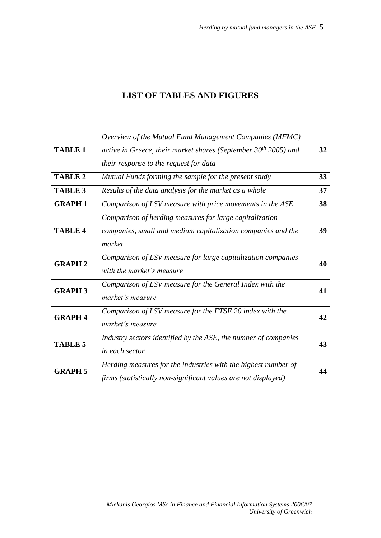## **LIST OF TABLES AND FIGURES**

|                | Overview of the Mutual Fund Management Companies (MFMC)                           |    |  |
|----------------|-----------------------------------------------------------------------------------|----|--|
| <b>TABLE 1</b> | active in Greece, their market shares (September $30th 2005$ ) and                | 32 |  |
|                | their response to the request for data                                            |    |  |
| <b>TABLE 2</b> | Mutual Funds forming the sample for the present study                             | 33 |  |
| <b>TABLE 3</b> | Results of the data analysis for the market as a whole                            | 37 |  |
| <b>GRAPH1</b>  | Comparison of LSV measure with price movements in the ASE                         | 38 |  |
|                | Comparison of herding measures for large capitalization                           |    |  |
| <b>TABLE 4</b> | companies, small and medium capitalization companies and the                      | 39 |  |
|                | market                                                                            |    |  |
| <b>GRAPH 2</b> | Comparison of LSV measure for large capitalization companies                      | 40 |  |
|                | with the market's measure                                                         |    |  |
| <b>GRAPH 3</b> | Comparison of LSV measure for the General Index with the                          | 41 |  |
|                | market's measure                                                                  |    |  |
| <b>GRAPH 4</b> | Comparison of LSV measure for the FTSE 20 index with the                          | 42 |  |
|                | market's measure                                                                  |    |  |
|                | Industry sectors identified by the ASE, the number of companies<br>in each sector |    |  |
| <b>TABLE 5</b> |                                                                                   |    |  |
| <b>GRAPH 5</b> | Herding measures for the industries with the highest number of                    |    |  |
|                | firms (statistically non-significant values are not displayed)                    | 44 |  |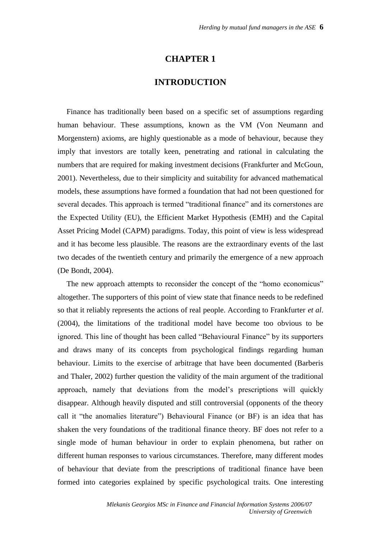#### **CHAPTER 1**

#### **INTRODUCTION**

Finance has traditionally been based on a specific set of assumptions regarding human behaviour. These assumptions, known as the VM (Von Neumann and Morgenstern) axioms, are highly questionable as a mode of behaviour, because they imply that investors are totally keen, penetrating and rational in calculating the numbers that are required for making investment decisions (Frankfurter and McGoun, 2001). Nevertheless, due to their simplicity and suitability for advanced mathematical models, these assumptions have formed a foundation that had not been questioned for several decades. This approach is termed "traditional finance" and its cornerstones are the Expected Utility (EU), the Efficient Market Hypothesis (EMH) and the Capital Asset Pricing Model (CAPM) paradigms. Today, this point of view is less widespread and it has become less plausible. The reasons are the extraordinary events of the last two decades of the twentieth century and primarily the emergence of a new approach (De Bondt, 2004).

The new approach attempts to reconsider the concept of the "homo economicus" altogether. The supporters of this point of view state that finance needs to be redefined so that it reliably represents the actions of real people. According to Frankfurter *et al*. (2004), the limitations of the traditional model have become too obvious to be ignored. This line of thought has been called "Behavioural Finance" by its supporters and draws many of its concepts from psychological findings regarding human behaviour. Limits to the exercise of arbitrage that have been documented (Barberis and Thaler, 2002) further question the validity of the main argument of the traditional approach, namely that deviations from the model's prescriptions will quickly disappear. Although heavily disputed and still controversial (opponents of the theory call it "the anomalies literature") Behavioural Finance (or BF) is an idea that has shaken the very foundations of the traditional finance theory. BF does not refer to a single mode of human behaviour in order to explain phenomena, but rather on different human responses to various circumstances. Therefore, many different modes of behaviour that deviate from the prescriptions of traditional finance have been formed into categories explained by specific psychological traits. One interesting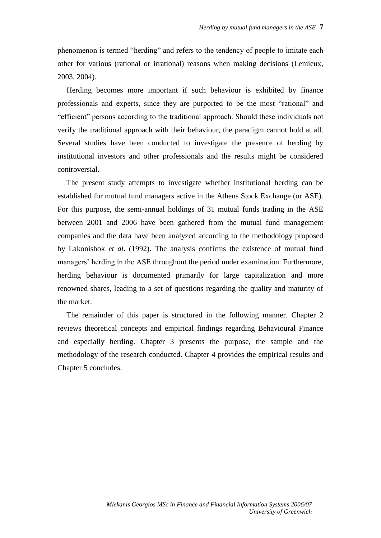phenomenon is termed "herding" and refers to the tendency of people to imitate each other for various (rational or irrational) reasons when making decisions (Lemieux, 2003, 2004).

Herding becomes more important if such behaviour is exhibited by finance professionals and experts, since they are purported to be the most "rational" and "efficient" persons according to the traditional approach. Should these individuals not verify the traditional approach with their behaviour, the paradigm cannot hold at all. Several studies have been conducted to investigate the presence of herding by institutional investors and other professionals and the results might be considered controversial.

The present study attempts to investigate whether institutional herding can be established for mutual fund managers active in the Athens Stock Exchange (or ASE). For this purpose, the semi-annual holdings of 31 mutual funds trading in the ASE between 2001 and 2006 have been gathered from the mutual fund management companies and the data have been analyzed according to the methodology proposed by Lakonishok *et al*. (1992). The analysis confirms the existence of mutual fund managers' herding in the ASE throughout the period under examination. Furthermore, herding behaviour is documented primarily for large capitalization and more renowned shares, leading to a set of questions regarding the quality and maturity of the market.

The remainder of this paper is structured in the following manner. Chapter 2 reviews theoretical concepts and empirical findings regarding Behavioural Finance and especially herding. Chapter 3 presents the purpose, the sample and the methodology of the research conducted. Chapter 4 provides the empirical results and Chapter 5 concludes.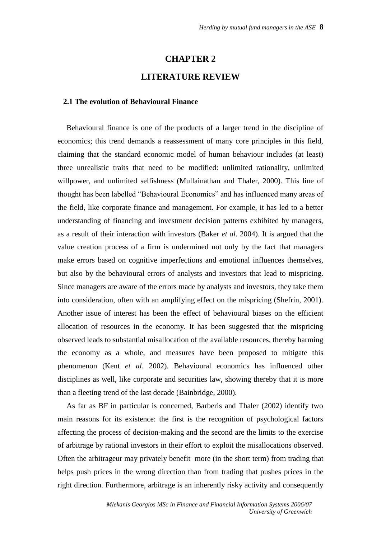#### **CHAPTER 2**

#### **LITERATURE REVIEW**

#### **2.1 The evolution of Behavioural Finance**

Behavioural finance is one of the products of a larger trend in the discipline of economics; this trend demands a reassessment of many core principles in this field, claiming that the standard economic model of human behaviour includes (at least) three unrealistic traits that need to be modified: unlimited rationality, unlimited willpower, and unlimited selfishness (Mullainathan and Thaler, 2000). This line of thought has been labelled "Behavioural Economics" and has influenced many areas of the field, like corporate finance and management. For example, it has led to a better understanding of financing and investment decision patterns exhibited by managers, as a result of their interaction with investors (Baker *et al*. 2004). It is argued that the value creation process of a firm is undermined not only by the fact that managers make errors based on cognitive imperfections and emotional influences themselves, but also by the behavioural errors of analysts and investors that lead to mispricing. Since managers are aware of the errors made by analysts and investors, they take them into consideration, often with an amplifying effect on the mispricing (Shefrin, 2001). Another issue of interest has been the effect of behavioural biases on the efficient allocation of resources in the economy. It has been suggested that the mispricing observed leads to substantial misallocation of the available resources, thereby harming the economy as a whole, and measures have been proposed to mitigate this phenomenon (Kent *et al*. 2002). Behavioural economics has influenced other disciplines as well, like corporate and securities law, showing thereby that it is more than a fleeting trend of the last decade (Bainbridge, 2000).

As far as BF in particular is concerned, Barberis and Thaler (2002) identify two main reasons for its existence: the first is the recognition of psychological factors affecting the process of decision-making and the second are the limits to the exercise of arbitrage by rational investors in their effort to exploit the misallocations observed. Often the arbitrageur may privately benefit more (in the short term) from trading that helps push prices in the wrong direction than from trading that pushes prices in the right direction. Furthermore, arbitrage is an inherently risky activity and consequently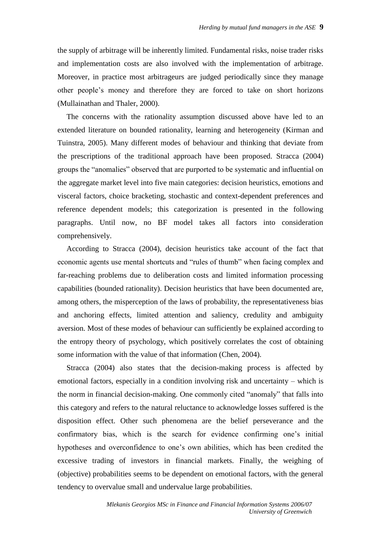the supply of arbitrage will be inherently limited. Fundamental risks, noise trader risks and implementation costs are also involved with the implementation of arbitrage. Moreover, in practice most arbitrageurs are judged periodically since they manage other people's money and therefore they are forced to take on short horizons (Mullainathan and Thaler, 2000).

The concerns with the rationality assumption discussed above have led to an extended literature on bounded rationality, learning and heterogeneity (Kirman and Tuinstra, 2005). Many different modes of behaviour and thinking that deviate from the prescriptions of the traditional approach have been proposed. Stracca (2004) groups the "anomalies" observed that are purported to be systematic and influential on the aggregate market level into five main categories: decision heuristics, emotions and visceral factors, choice bracketing, stochastic and context-dependent preferences and reference dependent models; this categorization is presented in the following paragraphs. Until now, no BF model takes all factors into consideration comprehensively.

According to Stracca (2004), decision heuristics take account of the fact that economic agents use mental shortcuts and "rules of thumb" when facing complex and far-reaching problems due to deliberation costs and limited information processing capabilities (bounded rationality). Decision heuristics that have been documented are, among others, the misperception of the laws of probability, the representativeness bias and anchoring effects, limited attention and saliency, credulity and ambiguity aversion. Most of these modes of behaviour can sufficiently be explained according to the entropy theory of psychology, which positively correlates the cost of obtaining some information with the value of that information (Chen, 2004).

Stracca (2004) also states that the decision-making process is affected by emotional factors, especially in a condition involving risk and uncertainty – which is the norm in financial decision-making. One commonly cited "anomaly" that falls into this category and refers to the natural reluctance to acknowledge losses suffered is the disposition effect. Other such phenomena are the belief perseverance and the confirmatory bias, which is the search for evidence confirming one's initial hypotheses and overconfidence to one's own abilities, which has been credited the excessive trading of investors in financial markets. Finally, the weighing of (objective) probabilities seems to be dependent on emotional factors, with the general tendency to overvalue small and undervalue large probabilities.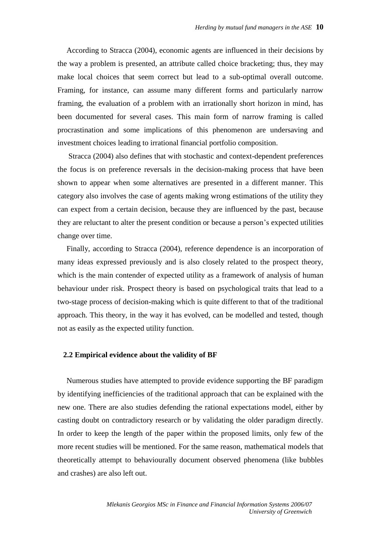According to Stracca (2004), economic agents are influenced in their decisions by the way a problem is presented, an attribute called choice bracketing; thus, they may make local choices that seem correct but lead to a sub-optimal overall outcome. Framing, for instance, can assume many different forms and particularly narrow framing, the evaluation of a problem with an irrationally short horizon in mind, has been documented for several cases. This main form of narrow framing is called procrastination and some implications of this phenomenon are undersaving and investment choices leading to irrational financial portfolio composition.

Stracca (2004) also defines that with stochastic and context-dependent preferences the focus is on preference reversals in the decision-making process that have been shown to appear when some alternatives are presented in a different manner. This category also involves the case of agents making wrong estimations of the utility they can expect from a certain decision, because they are influenced by the past, because they are reluctant to alter the present condition or because a person's expected utilities change over time.

Finally, according to Stracca (2004), reference dependence is an incorporation of many ideas expressed previously and is also closely related to the prospect theory, which is the main contender of expected utility as a framework of analysis of human behaviour under risk. Prospect theory is based on psychological traits that lead to a two-stage process of decision-making which is quite different to that of the traditional approach. This theory, in the way it has evolved, can be modelled and tested, though not as easily as the expected utility function.

#### **2.2 Empirical evidence about the validity of BF**

Numerous studies have attempted to provide evidence supporting the BF paradigm by identifying inefficiencies of the traditional approach that can be explained with the new one. There are also studies defending the rational expectations model, either by casting doubt on contradictory research or by validating the older paradigm directly. In order to keep the length of the paper within the proposed limits, only few of the more recent studies will be mentioned. For the same reason, mathematical models that theoretically attempt to behaviourally document observed phenomena (like bubbles and crashes) are also left out.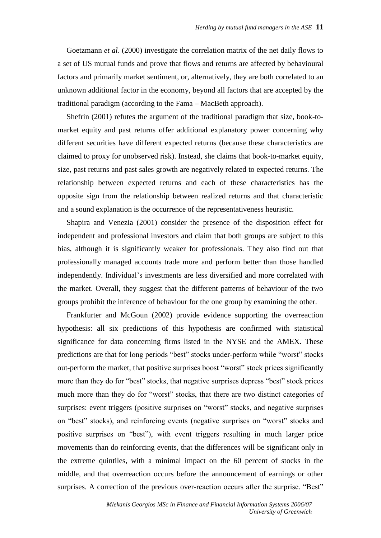Goetzmann *et al*. (2000) investigate the correlation matrix of the net daily flows to a set of US mutual funds and prove that flows and returns are affected by behavioural factors and primarily market sentiment, or, alternatively, they are both correlated to an unknown additional factor in the economy, beyond all factors that are accepted by the traditional paradigm (according to the Fama – MacBeth approach).

Shefrin (2001) refutes the argument of the traditional paradigm that size, book-tomarket equity and past returns offer additional explanatory power concerning why different securities have different expected returns (because these characteristics are claimed to proxy for unobserved risk). Instead, she claims that book-to-market equity, size, past returns and past sales growth are negatively related to expected returns. The relationship between expected returns and each of these characteristics has the opposite sign from the relationship between realized returns and that characteristic and a sound explanation is the occurrence of the representativeness heuristic.

Shapira and Venezia (2001) consider the presence of the disposition effect for independent and professional investors and claim that both groups are subject to this bias, although it is significantly weaker for professionals. They also find out that professionally managed accounts trade more and perform better than those handled independently. Individual's investments are less diversified and more correlated with the market. Overall, they suggest that the different patterns of behaviour of the two groups prohibit the inference of behaviour for the one group by examining the other.

Frankfurter and McGoun (2002) provide evidence supporting the overreaction hypothesis: all six predictions of this hypothesis are confirmed with statistical significance for data concerning firms listed in the NYSE and the AMEX. These predictions are that for long periods "best" stocks under-perform while "worst" stocks out-perform the market, that positive surprises boost "worst" stock prices significantly more than they do for "best" stocks, that negative surprises depress "best" stock prices much more than they do for "worst" stocks, that there are two distinct categories of surprises: event triggers (positive surprises on "worst" stocks, and negative surprises on "best" stocks), and reinforcing events (negative surprises on "worst" stocks and positive surprises on "best"), with event triggers resulting in much larger price movements than do reinforcing events, that the differences will be significant only in the extreme quintiles, with a minimal impact on the 60 percent of stocks in the middle, and that overreaction occurs before the announcement of earnings or other surprises. A correction of the previous over-reaction occurs after the surprise. "Best"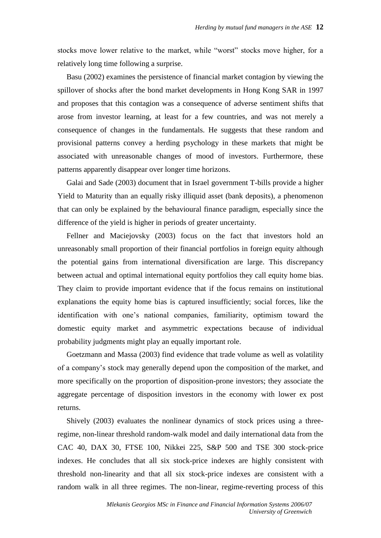stocks move lower relative to the market, while "worst" stocks move higher, for a relatively long time following a surprise.

Basu (2002) examines the persistence of financial market contagion by viewing the spillover of shocks after the bond market developments in Hong Kong SAR in 1997 and proposes that this contagion was a consequence of adverse sentiment shifts that arose from investor learning, at least for a few countries, and was not merely a consequence of changes in the fundamentals. He suggests that these random and provisional patterns convey a herding psychology in these markets that might be associated with unreasonable changes of mood of investors. Furthermore, these patterns apparently disappear over longer time horizons.

Galai and Sade (2003) document that in Israel government T-bills provide a higher Yield to Maturity than an equally risky illiquid asset (bank deposits), a phenomenon that can only be explained by the behavioural finance paradigm, especially since the difference of the yield is higher in periods of greater uncertainty.

Fellner and Maciejovsky (2003) focus on the fact that investors hold an unreasonably small proportion of their financial portfolios in foreign equity although the potential gains from international diversification are large. This discrepancy between actual and optimal international equity portfolios they call equity home bias. They claim to provide important evidence that if the focus remains on institutional explanations the equity home bias is captured insufficiently; social forces, like the identification with one's national companies, familiarity, optimism toward the domestic equity market and asymmetric expectations because of individual probability judgments might play an equally important role.

Goetzmann and Massa (2003) find evidence that trade volume as well as volatility of a company's stock may generally depend upon the composition of the market, and more specifically on the proportion of disposition-prone investors; they associate the aggregate percentage of disposition investors in the economy with lower ex post returns.

Shively (2003) evaluates the nonlinear dynamics of stock prices using a threeregime, non-linear threshold random-walk model and daily international data from the CAC 40, DAX 30, FTSE 100, Nikkei 225, S&P 500 and TSE 300 stock-price indexes. He concludes that all six stock-price indexes are highly consistent with threshold non-linearity and that all six stock-price indexes are consistent with a random walk in all three regimes. The non-linear, regime-reverting process of this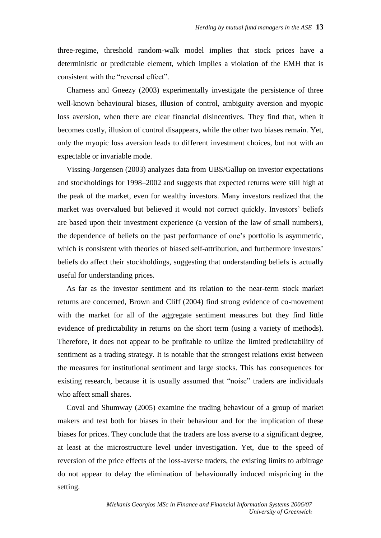three-regime, threshold random-walk model implies that stock prices have a deterministic or predictable element, which implies a violation of the EMH that is consistent with the "reversal effect".

Charness and Gneezy (2003) experimentally investigate the persistence of three well-known behavioural biases, illusion of control, ambiguity aversion and myopic loss aversion, when there are clear financial disincentives. They find that, when it becomes costly, illusion of control disappears, while the other two biases remain. Yet, only the myopic loss aversion leads to different investment choices, but not with an expectable or invariable mode.

Vissing-Jorgensen (2003) analyzes data from UBS/Gallup on investor expectations and stockholdings for 1998–2002 and suggests that expected returns were still high at the peak of the market, even for wealthy investors. Many investors realized that the market was overvalued but believed it would not correct quickly. Investors' beliefs are based upon their investment experience (a version of the law of small numbers), the dependence of beliefs on the past performance of one's portfolio is asymmetric, which is consistent with theories of biased self-attribution, and furthermore investors' beliefs do affect their stockholdings, suggesting that understanding beliefs is actually useful for understanding prices.

As far as the investor sentiment and its relation to the near-term stock market returns are concerned, Brown and Cliff (2004) find strong evidence of co-movement with the market for all of the aggregate sentiment measures but they find little evidence of predictability in returns on the short term (using a variety of methods). Therefore, it does not appear to be profitable to utilize the limited predictability of sentiment as a trading strategy. It is notable that the strongest relations exist between the measures for institutional sentiment and large stocks. This has consequences for existing research, because it is usually assumed that "noise" traders are individuals who affect small shares.

Coval and Shumway (2005) examine the trading behaviour of a group of market makers and test both for biases in their behaviour and for the implication of these biases for prices. They conclude that the traders are loss averse to a significant degree, at least at the microstructure level under investigation. Yet, due to the speed of reversion of the price effects of the loss-averse traders, the existing limits to arbitrage do not appear to delay the elimination of behaviourally induced mispricing in the setting.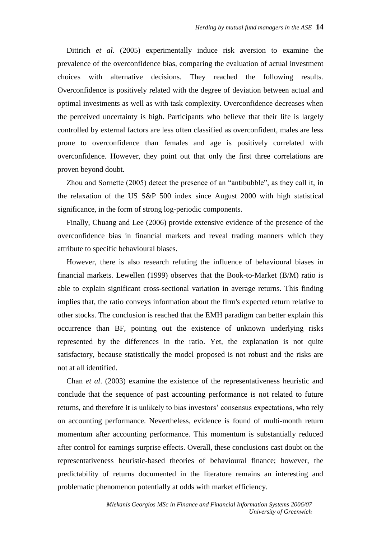Dittrich *et al*. (2005) experimentally induce risk aversion to examine the prevalence of the overconfidence bias, comparing the evaluation of actual investment choices with alternative decisions. They reached the following results. Overconfidence is positively related with the degree of deviation between actual and optimal investments as well as with task complexity. Overconfidence decreases when the perceived uncertainty is high. Participants who believe that their life is largely controlled by external factors are less often classified as overconfident, males are less prone to overconfidence than females and age is positively correlated with overconfidence. However, they point out that only the first three correlations are proven beyond doubt.

Zhou and Sornette (2005) detect the presence of an "antibubble", as they call it, in the relaxation of the US S&P 500 index since August 2000 with high statistical significance, in the form of strong log-periodic components.

Finally, Chuang and Lee (2006) provide extensive evidence of the presence of the overconfidence bias in financial markets and reveal trading manners which they attribute to specific behavioural biases.

However, there is also research refuting the influence of behavioural biases in financial markets. Lewellen (1999) observes that the Book-to-Market (B/M) ratio is able to explain significant cross-sectional variation in average returns. This finding implies that, the ratio conveys information about the firm's expected return relative to other stocks. The conclusion is reached that the EMH paradigm can better explain this occurrence than BF, pointing out the existence of unknown underlying risks represented by the differences in the ratio. Yet, the explanation is not quite satisfactory, because statistically the model proposed is not robust and the risks are not at all identified.

Chan *et al*. (2003) examine the existence of the representativeness heuristic and conclude that the sequence of past accounting performance is not related to future returns, and therefore it is unlikely to bias investors' consensus expectations, who rely on accounting performance. Nevertheless, evidence is found of multi-month return momentum after accounting performance. This momentum is substantially reduced after control for earnings surprise effects. Overall, these conclusions cast doubt on the representativeness heuristic-based theories of behavioural finance; however, the predictability of returns documented in the literature remains an interesting and problematic phenomenon potentially at odds with market efficiency.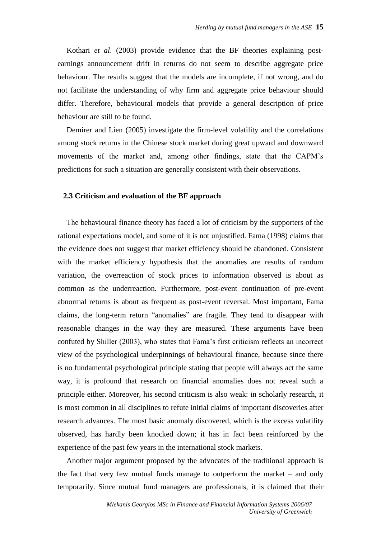Kothari *et al*. (2003) provide evidence that the BF theories explaining postearnings announcement drift in returns do not seem to describe aggregate price behaviour. The results suggest that the models are incomplete, if not wrong, and do not facilitate the understanding of why firm and aggregate price behaviour should differ. Therefore, behavioural models that provide a general description of price behaviour are still to be found.

Demirer and Lien (2005) investigate the firm-level volatility and the correlations among stock returns in the Chinese stock market during great upward and downward movements of the market and, among other findings, state that the CAPM's predictions for such a situation are generally consistent with their observations.

#### **2.3 Criticism and evaluation of the BF approach**

The behavioural finance theory has faced a lot of criticism by the supporters of the rational expectations model, and some of it is not unjustified. Fama (1998) claims that the evidence does not suggest that market efficiency should be abandoned. Consistent with the market efficiency hypothesis that the anomalies are results of random variation, the overreaction of stock prices to information observed is about as common as the underreaction. Furthermore, post-event continuation of pre-event abnormal returns is about as frequent as post-event reversal. Most important, Fama claims, the long-term return "anomalies" are fragile. They tend to disappear with reasonable changes in the way they are measured. These arguments have been confuted by Shiller (2003), who states that Fama's first criticism reflects an incorrect view of the psychological underpinnings of behavioural finance, because since there is no fundamental psychological principle stating that people will always act the same way, it is profound that research on financial anomalies does not reveal such a principle either. Moreover, his second criticism is also weak: in scholarly research, it is most common in all disciplines to refute initial claims of important discoveries after research advances. The most basic anomaly discovered, which is the excess volatility observed, has hardly been knocked down; it has in fact been reinforced by the experience of the past few years in the international stock markets.

Another major argument proposed by the advocates of the traditional approach is the fact that very few mutual funds manage to outperform the market – and only temporarily. Since mutual fund managers are professionals, it is claimed that their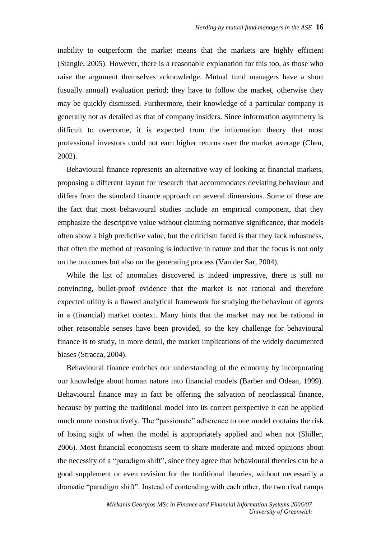inability to outperform the market means that the markets are highly efficient (Stangle, 2005). However, there is a reasonable explanation for this too, as those who raise the argument themselves acknowledge. Mutual fund managers have a short (usually annual) evaluation period; they have to follow the market, otherwise they may be quickly dismissed. Furthermore, their knowledge of a particular company is generally not as detailed as that of company insiders. Since information asymmetry is difficult to overcome, it is expected from the information theory that most professional investors could not earn higher returns over the market average (Chen, 2002).

Behavioural finance represents an alternative way of looking at financial markets, proposing a different layout for research that accommodates deviating behaviour and differs from the standard finance approach on several dimensions. Some of these are the fact that most behavioural studies include an empirical component, that they emphasize the descriptive value without claiming normative significance, that models often show a high predictive value, but the criticism faced is that they lack robustness, that often the method of reasoning is inductive in nature and that the focus is not only on the outcomes but also on the generating process (Van der Sar, 2004).

While the list of anomalies discovered is indeed impressive, there is still no convincing, bullet-proof evidence that the market is not rational and therefore expected utility is a flawed analytical framework for studying the behaviour of agents in a (financial) market context. Many hints that the market may not be rational in other reasonable senses have been provided, so the key challenge for behavioural finance is to study, in more detail, the market implications of the widely documented biases (Stracca, 2004).

Behavioural finance enriches our understanding of the economy by incorporating our knowledge about human nature into financial models (Barber and Odean, 1999). Behavioural finance may in fact be offering the salvation of neoclassical finance, because by putting the traditional model into its correct perspective it can be applied much more constructively. The "passionate" adherence to one model contains the risk of losing sight of when the model is appropriately applied and when not (Shiller, 2006). Most financial economists seem to share moderate and mixed opinions about the necessity of a "paradigm shift", since they agree that behavioural theories can be a good supplement or even revision for the traditional theories, without necessarily a dramatic "paradigm shift". Instead of contending with each other, the two rival camps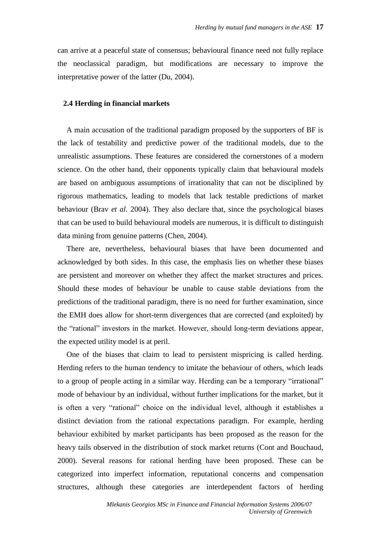can arrive at a peaceful state of consensus; behavioural finance need not fully replace the neoclassical paradigm, but modifications are necessary to improve the interpretative power of the latter (Du, 2004).

#### **2.4 Herding in financial markets**

A main accusation of the traditional paradigm proposed by the supporters of BF is the lack of testability and predictive power of the traditional models, due to the unrealistic assumptions. These features are considered the cornerstones of a modern science. On the other hand, their opponents typically claim that behavioural models are based on ambiguous assumptions of irrationality that can not be disciplined by rigorous mathematics, leading to models that lack testable predictions of market behaviour (Brav *et al*. 2004). They also declare that, since the psychological biases that can be used to build behavioural models are numerous, it is difficult to distinguish data mining from genuine patterns (Chen, 2004).

There are, nevertheless, behavioural biases that have been documented and acknowledged by both sides. In this case, the emphasis lies on whether these biases are persistent and moreover on whether they affect the market structures and prices. Should these modes of behaviour be unable to cause stable deviations from the predictions of the traditional paradigm, there is no need for further examination, since the EMH does allow for short-term divergences that are corrected (and exploited) by the "rational" investors in the market. However, should long-term deviations appear, the expected utility model is at peril.

One of the biases that claim to lead to persistent mispricing is called herding. Herding refers to the human tendency to imitate the behaviour of others, which leads to a group of people acting in a similar way. Herding can be a temporary "irrational" mode of behaviour by an individual, without further implications for the market, but it is often a very "rational" choice on the individual level, although it establishes a distinct deviation from the rational expectations paradigm. For example, herding behaviour exhibited by market participants has been proposed as the reason for the heavy tails observed in the distribution of stock market returns (Cont and Bouchaud, 2000). Several reasons for rational herding have been proposed. These can be categorized into imperfect information, reputational concerns and compensation structures, although these categories are interdependent factors of herding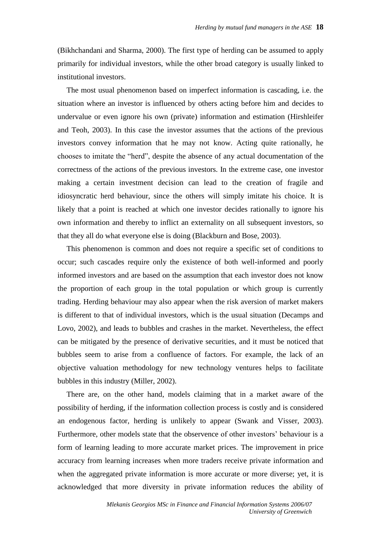(Bikhchandani and Sharma, 2000). The first type of herding can be assumed to apply primarily for individual investors, while the other broad category is usually linked to institutional investors.

The most usual phenomenon based on imperfect information is cascading, i.e. the situation where an investor is influenced by others acting before him and decides to undervalue or even ignore his own (private) information and estimation (Hirshleifer and Teoh, 2003). In this case the investor assumes that the actions of the previous investors convey information that he may not know. Acting quite rationally, he chooses to imitate the "herd", despite the absence of any actual documentation of the correctness of the actions of the previous investors. In the extreme case, one investor making a certain investment decision can lead to the creation of fragile and idiosyncratic herd behaviour, since the others will simply imitate his choice. It is likely that a point is reached at which one investor decides rationally to ignore his own information and thereby to inflict an externality on all subsequent investors, so that they all do what everyone else is doing (Blackburn and Bose, 2003).

This phenomenon is common and does not require a specific set of conditions to occur; such cascades require only the existence of both well-informed and poorly informed investors and are based on the assumption that each investor does not know the proportion of each group in the total population or which group is currently trading. Herding behaviour may also appear when the risk aversion of market makers is different to that of individual investors, which is the usual situation (Decamps and Lovo, 2002), and leads to bubbles and crashes in the market. Nevertheless, the effect can be mitigated by the presence of derivative securities, and it must be noticed that bubbles seem to arise from a confluence of factors. For example, the lack of an objective valuation methodology for new technology ventures helps to facilitate bubbles in this industry (Miller, 2002).

There are, on the other hand, models claiming that in a market aware of the possibility of herding, if the information collection process is costly and is considered an endogenous factor, herding is unlikely to appear (Swank and Visser, 2003). Furthermore, other models state that the observence of other investors' behaviour is a form of learning leading to more accurate market prices. The improvement in price accuracy from learning increases when more traders receive private information and when the aggregated private information is more accurate or more diverse; yet, it is acknowledged that more diversity in private information reduces the ability of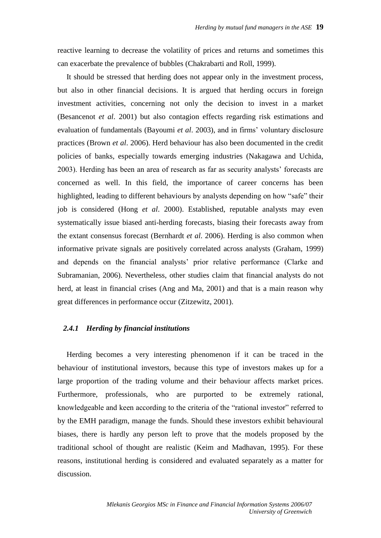reactive learning to decrease the volatility of prices and returns and sometimes this can exacerbate the prevalence of bubbles (Chakrabarti and Roll, 1999).

It should be stressed that herding does not appear only in the investment process, but also in other financial decisions. It is argued that herding occurs in foreign investment activities, concerning not only the decision to invest in a market (Besancenot *et al*. 2001) but also contagion effects regarding risk estimations and evaluation of fundamentals (Bayoumi *et al*. 2003), and in firms' voluntary disclosure practices (Brown *et al*. 2006). Herd behaviour has also been documented in the credit policies of banks, especially towards emerging industries (Nakagawa and Uchida, 2003). Herding has been an area of research as far as security analysts' forecasts are concerned as well. In this field, the importance of career concerns has been highlighted, leading to different behaviours by analysts depending on how "safe" their job is considered (Hong *et al*. 2000). Established, reputable analysts may even systematically issue biased anti-herding forecasts, biasing their forecasts away from the extant consensus forecast (Bernhardt *et al*. 2006). Herding is also common when informative private signals are positively correlated across analysts (Graham, 1999) and depends on the financial analysts' prior relative performance (Clarke and Subramanian, 2006). Nevertheless, other studies claim that financial analysts do not herd, at least in financial crises (Ang and Ma, 2001) and that is a main reason why great differences in performance occur (Zitzewitz, 2001).

#### *2.4.1 Herding by financial institutions*

Herding becomes a very interesting phenomenon if it can be traced in the behaviour of institutional investors, because this type of investors makes up for a large proportion of the trading volume and their behaviour affects market prices. Furthermore, professionals, who are purported to be extremely rational, knowledgeable and keen according to the criteria of the "rational investor" referred to by the EMH paradigm, manage the funds. Should these investors exhibit behavioural biases, there is hardly any person left to prove that the models proposed by the traditional school of thought are realistic (Keim and Madhavan, 1995). For these reasons, institutional herding is considered and evaluated separately as a matter for discussion.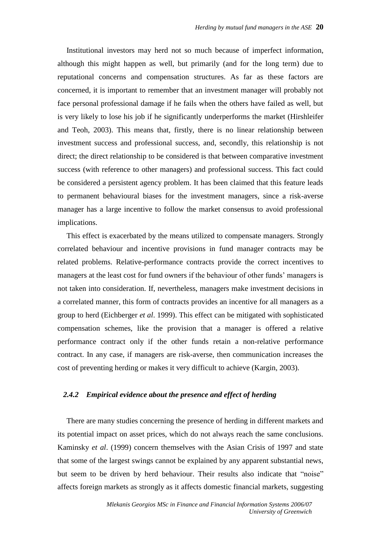Institutional investors may herd not so much because of imperfect information, although this might happen as well, but primarily (and for the long term) due to reputational concerns and compensation structures. As far as these factors are concerned, it is important to remember that an investment manager will probably not face personal professional damage if he fails when the others have failed as well, but is very likely to lose his job if he significantly underperforms the market (Hirshleifer and Teoh, 2003). This means that, firstly, there is no linear relationship between investment success and professional success, and, secondly, this relationship is not direct; the direct relationship to be considered is that between comparative investment success (with reference to other managers) and professional success. This fact could be considered a persistent agency problem. It has been claimed that this feature leads to permanent behavioural biases for the investment managers, since a risk-averse manager has a large incentive to follow the market consensus to avoid professional implications.

This effect is exacerbated by the means utilized to compensate managers. Strongly correlated behaviour and incentive provisions in fund manager contracts may be related problems. Relative-performance contracts provide the correct incentives to managers at the least cost for fund owners if the behaviour of other funds' managers is not taken into consideration. If, nevertheless, managers make investment decisions in a correlated manner, this form of contracts provides an incentive for all managers as a group to herd (Eichberger *et al*. 1999). This effect can be mitigated with sophisticated compensation schemes, like the provision that a manager is offered a relative performance contract only if the other funds retain a non-relative performance contract. In any case, if managers are risk-averse, then communication increases the cost of preventing herding or makes it very difficult to achieve (Kargin, 2003).

#### *2.4.2 Empirical evidence about the presence and effect of herding*

There are many studies concerning the presence of herding in different markets and its potential impact on asset prices, which do not always reach the same conclusions. Kaminsky *et al*. (1999) concern themselves with the Asian Crisis of 1997 and state that some of the largest swings cannot be explained by any apparent substantial news, but seem to be driven by herd behaviour. Their results also indicate that "noise" affects foreign markets as strongly as it affects domestic financial markets, suggesting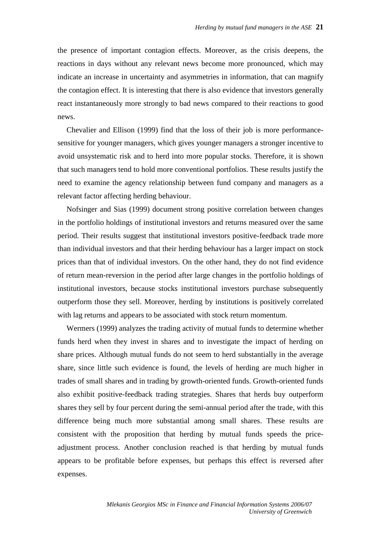the presence of important contagion effects. Moreover, as the crisis deepens, the reactions in days without any relevant news become more pronounced, which may indicate an increase in uncertainty and asymmetries in information, that can magnify the contagion effect. It is interesting that there is also evidence that investors generally react instantaneously more strongly to bad news compared to their reactions to good news.

Chevalier and Ellison (1999) find that the loss of their job is more performancesensitive for younger managers, which gives younger managers a stronger incentive to avoid unsystematic risk and to herd into more popular stocks. Therefore, it is shown that such managers tend to hold more conventional portfolios. These results justify the need to examine the agency relationship between fund company and managers as a relevant factor affecting herding behaviour.

Nofsinger and Sias (1999) document strong positive correlation between changes in the portfolio holdings of institutional investors and returns measured over the same period. Their results suggest that institutional investors positive-feedback trade more than individual investors and that their herding behaviour has a larger impact on stock prices than that of individual investors. On the other hand, they do not find evidence of return mean-reversion in the period after large changes in the portfolio holdings of institutional investors, because stocks institutional investors purchase subsequently outperform those they sell. Moreover, herding by institutions is positively correlated with lag returns and appears to be associated with stock return momentum.

Wermers (1999) analyzes the trading activity of mutual funds to determine whether funds herd when they invest in shares and to investigate the impact of herding on share prices. Although mutual funds do not seem to herd substantially in the average share, since little such evidence is found, the levels of herding are much higher in trades of small shares and in trading by growth-oriented funds. Growth-oriented funds also exhibit positive-feedback trading strategies. Shares that herds buy outperform shares they sell by four percent during the semi-annual period after the trade, with this difference being much more substantial among small shares. These results are consistent with the proposition that herding by mutual funds speeds the priceadjustment process. Another conclusion reached is that herding by mutual funds appears to be profitable before expenses, but perhaps this effect is reversed after expenses.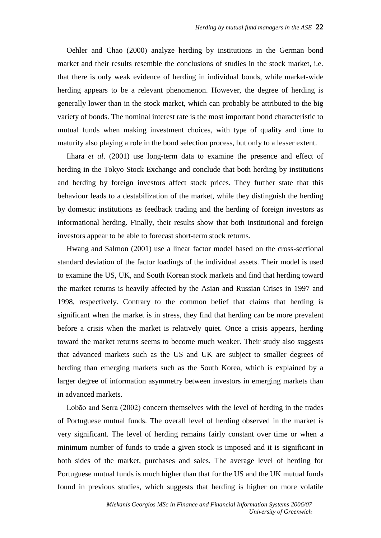Oehler and Chao (2000) analyze herding by institutions in the German bond market and their results resemble the conclusions of studies in the stock market, i.e. that there is only weak evidence of herding in individual bonds, while market-wide herding appears to be a relevant phenomenon. However, the degree of herding is generally lower than in the stock market, which can probably be attributed to the big variety of bonds. The nominal interest rate is the most important bond characteristic to mutual funds when making investment choices, with type of quality and time to maturity also playing a role in the bond selection process, but only to a lesser extent.

Iihara *et al*. (2001) use long-term data to examine the presence and effect of herding in the Tokyo Stock Exchange and conclude that both herding by institutions and herding by foreign investors affect stock prices. They further state that this behaviour leads to a destabilization of the market, while they distinguish the herding by domestic institutions as feedback trading and the herding of foreign investors as informational herding. Finally, their results show that both institutional and foreign investors appear to be able to forecast short-term stock returns.

Hwang and Salmon (2001) use a linear factor model based on the cross-sectional standard deviation of the factor loadings of the individual assets. Their model is used to examine the US, UK, and South Korean stock markets and find that herding toward the market returns is heavily affected by the Asian and Russian Crises in 1997 and 1998, respectively. Contrary to the common belief that claims that herding is significant when the market is in stress, they find that herding can be more prevalent before a crisis when the market is relatively quiet. Once a crisis appears, herding toward the market returns seems to become much weaker. Their study also suggests that advanced markets such as the US and UK are subject to smaller degrees of herding than emerging markets such as the South Korea, which is explained by a larger degree of information asymmetry between investors in emerging markets than in advanced markets.

Lobão and Serra (2002) concern themselves with the level of herding in the trades of Portuguese mutual funds. The overall level of herding observed in the market is very significant. The level of herding remains fairly constant over time or when a minimum number of funds to trade a given stock is imposed and it is significant in both sides of the market, purchases and sales. The average level of herding for Portuguese mutual funds is much higher than that for the US and the UK mutual funds found in previous studies, which suggests that herding is higher on more volatile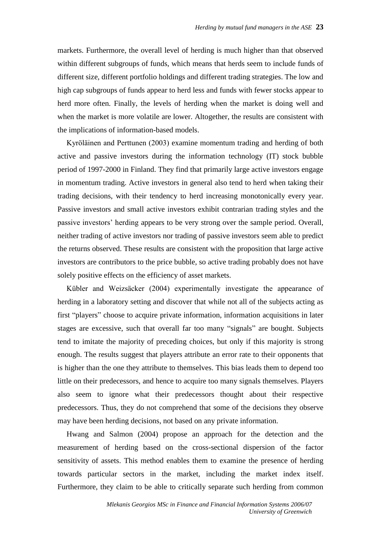markets. Furthermore, the overall level of herding is much higher than that observed within different subgroups of funds, which means that herds seem to include funds of different size, different portfolio holdings and different trading strategies. The low and high cap subgroups of funds appear to herd less and funds with fewer stocks appear to herd more often. Finally, the levels of herding when the market is doing well and when the market is more volatile are lower. Altogether, the results are consistent with the implications of information-based models.

Kyröläinen and Perttunen (2003) examine momentum trading and herding of both active and passive investors during the information technology (IT) stock bubble period of 1997-2000 in Finland. They find that primarily large active investors engage in momentum trading. Active investors in general also tend to herd when taking their trading decisions, with their tendency to herd increasing monotonically every year. Passive investors and small active investors exhibit contrarian trading styles and the passive investors' herding appears to be very strong over the sample period. Overall, neither trading of active investors nor trading of passive investors seem able to predict the returns observed. These results are consistent with the proposition that large active investors are contributors to the price bubble, so active trading probably does not have solely positive effects on the efficiency of asset markets.

Kübler and Weizsäcker (2004) experimentally investigate the appearance of herding in a laboratory setting and discover that while not all of the subjects acting as first "players" choose to acquire private information, information acquisitions in later stages are excessive, such that overall far too many "signals" are bought. Subjects tend to imitate the majority of preceding choices, but only if this majority is strong enough. The results suggest that players attribute an error rate to their opponents that is higher than the one they attribute to themselves. This bias leads them to depend too little on their predecessors, and hence to acquire too many signals themselves. Players also seem to ignore what their predecessors thought about their respective predecessors. Thus, they do not comprehend that some of the decisions they observe may have been herding decisions, not based on any private information.

Hwang and Salmon (2004) propose an approach for the detection and the measurement of herding based on the cross-sectional dispersion of the factor sensitivity of assets. This method enables them to examine the presence of herding towards particular sectors in the market, including the market index itself. Furthermore, they claim to be able to critically separate such herding from common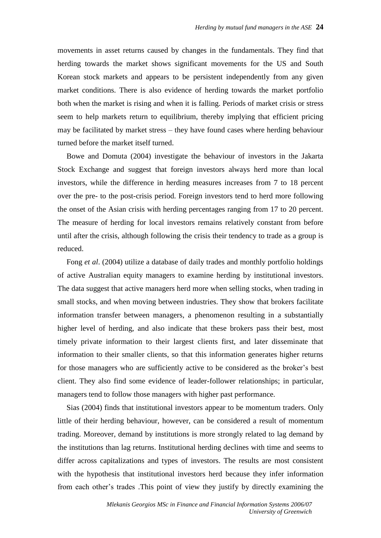movements in asset returns caused by changes in the fundamentals. They find that herding towards the market shows significant movements for the US and South Korean stock markets and appears to be persistent independently from any given market conditions. There is also evidence of herding towards the market portfolio both when the market is rising and when it is falling. Periods of market crisis or stress seem to help markets return to equilibrium, thereby implying that efficient pricing may be facilitated by market stress – they have found cases where herding behaviour turned before the market itself turned.

Bowe and Domuta (2004) investigate the behaviour of investors in the Jakarta Stock Exchange and suggest that foreign investors always herd more than local investors, while the difference in herding measures increases from 7 to 18 percent over the pre- to the post-crisis period. Foreign investors tend to herd more following the onset of the Asian crisis with herding percentages ranging from 17 to 20 percent. The measure of herding for local investors remains relatively constant from before until after the crisis, although following the crisis their tendency to trade as a group is reduced.

Fong *et al*. (2004) utilize a database of daily trades and monthly portfolio holdings of active Australian equity managers to examine herding by institutional investors. The data suggest that active managers herd more when selling stocks, when trading in small stocks, and when moving between industries. They show that brokers facilitate information transfer between managers, a phenomenon resulting in a substantially higher level of herding, and also indicate that these brokers pass their best, most timely private information to their largest clients first, and later disseminate that information to their smaller clients, so that this information generates higher returns for those managers who are sufficiently active to be considered as the broker's best client. They also find some evidence of leader-follower relationships; in particular, managers tend to follow those managers with higher past performance.

Sias (2004) finds that institutional investors appear to be momentum traders. Only little of their herding behaviour, however, can be considered a result of momentum trading. Moreover, demand by institutions is more strongly related to lag demand by the institutions than lag returns. Institutional herding declines with time and seems to differ across capitalizations and types of investors. The results are most consistent with the hypothesis that institutional investors herd because they infer information from each other's trades .This point of view they justify by directly examining the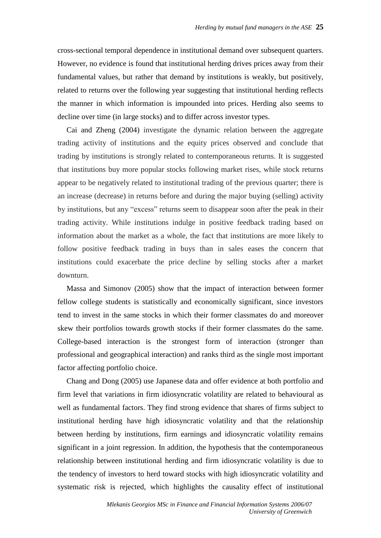cross-sectional temporal dependence in institutional demand over subsequent quarters. However, no evidence is found that institutional herding drives prices away from their fundamental values, but rather that demand by institutions is weakly, but positively, related to returns over the following year suggesting that institutional herding reflects the manner in which information is impounded into prices. Herding also seems to decline over time (in large stocks) and to differ across investor types.

Cai and Zheng (2004) investigate the dynamic relation between the aggregate trading activity of institutions and the equity prices observed and conclude that trading by institutions is strongly related to contemporaneous returns. It is suggested that institutions buy more popular stocks following market rises, while stock returns appear to be negatively related to institutional trading of the previous quarter; there is an increase (decrease) in returns before and during the major buying (selling) activity by institutions, but any "excess" returns seem to disappear soon after the peak in their trading activity. While institutions indulge in positive feedback trading based on information about the market as a whole, the fact that institutions are more likely to follow positive feedback trading in buys than in sales eases the concern that institutions could exacerbate the price decline by selling stocks after a market downturn.

Massa and Simonov (2005) show that the impact of interaction between former fellow college students is statistically and economically significant, since investors tend to invest in the same stocks in which their former classmates do and moreover skew their portfolios towards growth stocks if their former classmates do the same. College-based interaction is the strongest form of interaction (stronger than professional and geographical interaction) and ranks third as the single most important factor affecting portfolio choice.

Chang and Dong (2005) use Japanese data and offer evidence at both portfolio and firm level that variations in firm idiosyncratic volatility are related to behavioural as well as fundamental factors. They find strong evidence that shares of firms subject to institutional herding have high idiosyncratic volatility and that the relationship between herding by institutions, firm earnings and idiosyncratic volatility remains significant in a joint regression. In addition, the hypothesis that the contemporaneous relationship between institutional herding and firm idiosyncratic volatility is due to the tendency of investors to herd toward stocks with high idiosyncratic volatility and systematic risk is rejected, which highlights the causality effect of institutional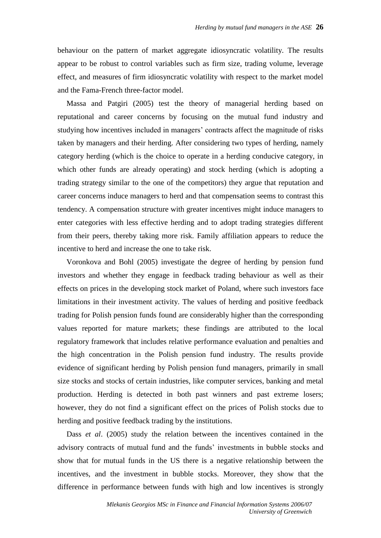behaviour on the pattern of market aggregate idiosyncratic volatility. The results appear to be robust to control variables such as firm size, trading volume, leverage effect, and measures of firm idiosyncratic volatility with respect to the market model and the Fama-French three-factor model.

Massa and Patgiri (2005) test the theory of managerial herding based on reputational and career concerns by focusing on the mutual fund industry and studying how incentives included in managers' contracts affect the magnitude of risks taken by managers and their herding. After considering two types of herding, namely category herding (which is the choice to operate in a herding conducive category, in which other funds are already operating) and stock herding (which is adopting a trading strategy similar to the one of the competitors) they argue that reputation and career concerns induce managers to herd and that compensation seems to contrast this tendency. A compensation structure with greater incentives might induce managers to enter categories with less effective herding and to adopt trading strategies different from their peers, thereby taking more risk. Family affiliation appears to reduce the incentive to herd and increase the one to take risk.

Voronkova and Bohl (2005) investigate the degree of herding by pension fund investors and whether they engage in feedback trading behaviour as well as their effects on prices in the developing stock market of Poland, where such investors face limitations in their investment activity. The values of herding and positive feedback trading for Polish pension funds found are considerably higher than the corresponding values reported for mature markets; these findings are attributed to the local regulatory framework that includes relative performance evaluation and penalties and the high concentration in the Polish pension fund industry. The results provide evidence of significant herding by Polish pension fund managers, primarily in small size stocks and stocks of certain industries, like computer services, banking and metal production. Herding is detected in both past winners and past extreme losers; however, they do not find a significant effect on the prices of Polish stocks due to herding and positive feedback trading by the institutions.

Dass *et al*. (2005) study the relation between the incentives contained in the advisory contracts of mutual fund and the funds' investments in bubble stocks and show that for mutual funds in the US there is a negative relationship between the incentives, and the investment in bubble stocks. Moreover, they show that the difference in performance between funds with high and low incentives is strongly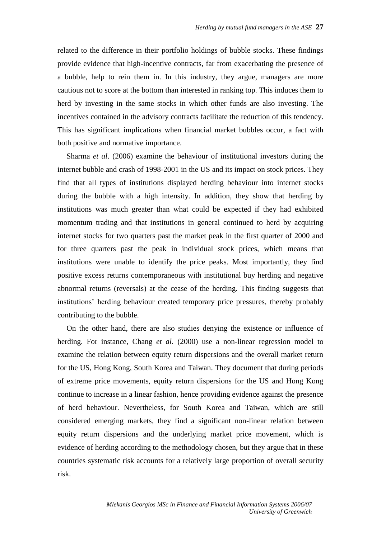related to the difference in their portfolio holdings of bubble stocks. These findings provide evidence that high-incentive contracts, far from exacerbating the presence of a bubble, help to rein them in. In this industry, they argue, managers are more cautious not to score at the bottom than interested in ranking top. This induces them to herd by investing in the same stocks in which other funds are also investing. The incentives contained in the advisory contracts facilitate the reduction of this tendency. This has significant implications when financial market bubbles occur, a fact with both positive and normative importance.

Sharma *et al*. (2006) examine the behaviour of institutional investors during the internet bubble and crash of 1998-2001 in the US and its impact on stock prices. They find that all types of institutions displayed herding behaviour into internet stocks during the bubble with a high intensity. In addition, they show that herding by institutions was much greater than what could be expected if they had exhibited momentum trading and that institutions in general continued to herd by acquiring internet stocks for two quarters past the market peak in the first quarter of 2000 and for three quarters past the peak in individual stock prices, which means that institutions were unable to identify the price peaks. Most importantly, they find positive excess returns contemporaneous with institutional buy herding and negative abnormal returns (reversals) at the cease of the herding. This finding suggests that institutions' herding behaviour created temporary price pressures, thereby probably contributing to the bubble.

On the other hand, there are also studies denying the existence or influence of herding. For instance, Chang *et al*. (2000) use a non-linear regression model to examine the relation between equity return dispersions and the overall market return for the US, Hong Kong, South Korea and Taiwan. They document that during periods of extreme price movements, equity return dispersions for the US and Hong Kong continue to increase in a linear fashion, hence providing evidence against the presence of herd behaviour. Nevertheless, for South Korea and Taiwan, which are still considered emerging markets, they find a significant non-linear relation between equity return dispersions and the underlying market price movement, which is evidence of herding according to the methodology chosen, but they argue that in these countries systematic risk accounts for a relatively large proportion of overall security risk.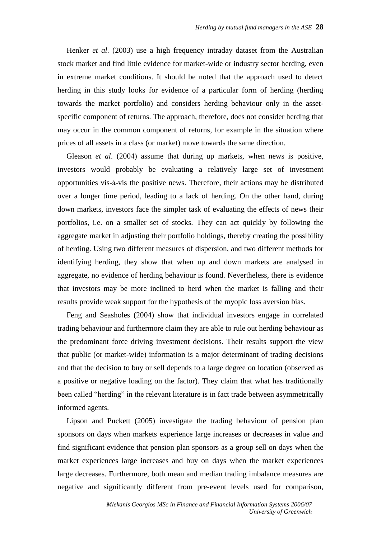Henker *et al*. (2003) use a high frequency intraday dataset from the Australian stock market and find little evidence for market-wide or industry sector herding, even in extreme market conditions. It should be noted that the approach used to detect herding in this study looks for evidence of a particular form of herding (herding towards the market portfolio) and considers herding behaviour only in the assetspecific component of returns. The approach, therefore, does not consider herding that may occur in the common component of returns, for example in the situation where prices of all assets in a class (or market) move towards the same direction.

Gleason *et al*. (2004) assume that during up markets, when news is positive, investors would probably be evaluating a relatively large set of investment opportunities vis-à-vis the positive news. Therefore, their actions may be distributed over a longer time period, leading to a lack of herding. On the other hand, during down markets, investors face the simpler task of evaluating the effects of news their portfolios, i.e. on a smaller set of stocks. They can act quickly by following the aggregate market in adjusting their portfolio holdings, thereby creating the possibility of herding. Using two different measures of dispersion, and two different methods for identifying herding, they show that when up and down markets are analysed in aggregate, no evidence of herding behaviour is found. Nevertheless, there is evidence that investors may be more inclined to herd when the market is falling and their results provide weak support for the hypothesis of the myopic loss aversion bias.

Feng and Seasholes (2004) show that individual investors engage in correlated trading behaviour and furthermore claim they are able to rule out herding behaviour as the predominant force driving investment decisions. Their results support the view that public (or market-wide) information is a major determinant of trading decisions and that the decision to buy or sell depends to a large degree on location (observed as a positive or negative loading on the factor). They claim that what has traditionally been called "herding" in the relevant literature is in fact trade between asymmetrically informed agents.

Lipson and Puckett (2005) investigate the trading behaviour of pension plan sponsors on days when markets experience large increases or decreases in value and find significant evidence that pension plan sponsors as a group sell on days when the market experiences large increases and buy on days when the market experiences large decreases. Furthermore, both mean and median trading imbalance measures are negative and significantly different from pre-event levels used for comparison,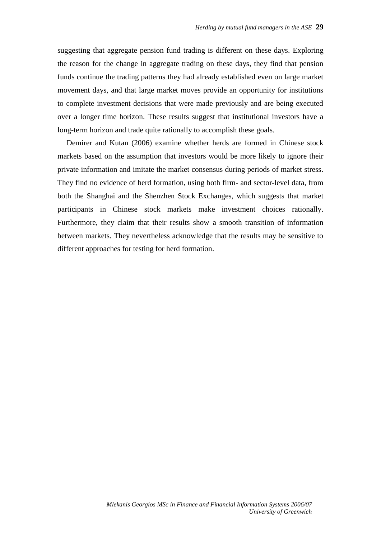suggesting that aggregate pension fund trading is different on these days. Exploring the reason for the change in aggregate trading on these days, they find that pension funds continue the trading patterns they had already established even on large market movement days, and that large market moves provide an opportunity for institutions to complete investment decisions that were made previously and are being executed over a longer time horizon. These results suggest that institutional investors have a long-term horizon and trade quite rationally to accomplish these goals.

Demirer and Kutan (2006) examine whether herds are formed in Chinese stock markets based on the assumption that investors would be more likely to ignore their private information and imitate the market consensus during periods of market stress. They find no evidence of herd formation, using both firm- and sector-level data, from both the Shanghai and the Shenzhen Stock Exchanges, which suggests that market participants in Chinese stock markets make investment choices rationally. Furthermore, they claim that their results show a smooth transition of information between markets. They nevertheless acknowledge that the results may be sensitive to different approaches for testing for herd formation.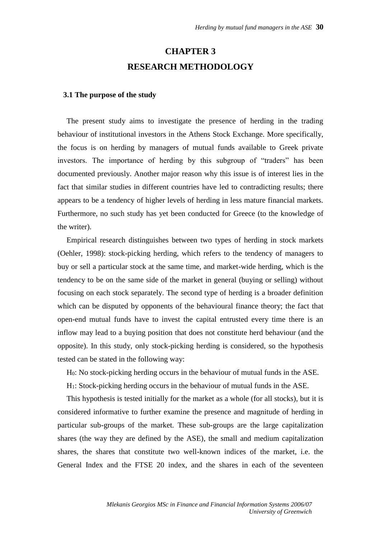## **CHAPTER 3 RESEARCH METHODOLOGY**

#### **3.1 The purpose of the study**

The present study aims to investigate the presence of herding in the trading behaviour of institutional investors in the Athens Stock Exchange. More specifically, the focus is on herding by managers of mutual funds available to Greek private investors. The importance of herding by this subgroup of "traders" has been documented previously. Another major reason why this issue is of interest lies in the fact that similar studies in different countries have led to contradicting results; there appears to be a tendency of higher levels of herding in less mature financial markets. Furthermore, no such study has yet been conducted for Greece (to the knowledge of the writer).

Empirical research distinguishes between two types of herding in stock markets (Oehler, 1998): stock-picking herding, which refers to the tendency of managers to buy or sell a particular stock at the same time, and market-wide herding, which is the tendency to be on the same side of the market in general (buying or selling) without focusing on each stock separately. The second type of herding is a broader definition which can be disputed by opponents of the behavioural finance theory; the fact that open-end mutual funds have to invest the capital entrusted every time there is an inflow may lead to a buying position that does not constitute herd behaviour (and the opposite). In this study, only stock-picking herding is considered, so the hypothesis tested can be stated in the following way:

H0: No stock-picking herding occurs in the behaviour of mutual funds in the ASE.

H1: Stock-picking herding occurs in the behaviour of mutual funds in the ASE.

This hypothesis is tested initially for the market as a whole (for all stocks), but it is considered informative to further examine the presence and magnitude of herding in particular sub-groups of the market. These sub-groups are the large capitalization shares (the way they are defined by the ASE), the small and medium capitalization shares, the shares that constitute two well-known indices of the market, i.e. the General Index and the FTSE 20 index, and the shares in each of the seventeen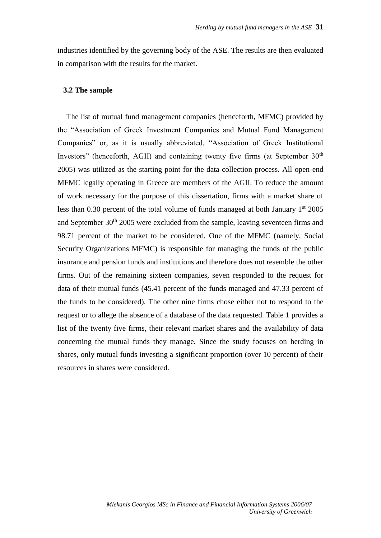industries identified by the governing body of the ASE. The results are then evaluated in comparison with the results for the market.

#### **3.2 The sample**

The list of mutual fund management companies (henceforth, MFMC) provided by the "Association of Greek Investment Companies and Mutual Fund Management Companies" or, as it is usually abbreviated, "Association of Greek Institutional Investors" (henceforth, AGII) and containing twenty five firms (at September  $30<sup>th</sup>$ 2005) was utilized as the starting point for the data collection process. All open-end MFMC legally operating in Greece are members of the AGII. To reduce the amount of work necessary for the purpose of this dissertation, firms with a market share of less than 0.30 percent of the total volume of funds managed at both January  $1<sup>st</sup>$  2005 and September 30th 2005 were excluded from the sample, leaving seventeen firms and 98.71 percent of the market to be considered. One of the MFMC (namely, Social Security Organizations MFMC) is responsible for managing the funds of the public insurance and pension funds and institutions and therefore does not resemble the other firms. Out of the remaining sixteen companies, seven responded to the request for data of their mutual funds (45.41 percent of the funds managed and 47.33 percent of the funds to be considered). The other nine firms chose either not to respond to the request or to allege the absence of a database of the data requested. Table 1 provides a list of the twenty five firms, their relevant market shares and the availability of data concerning the mutual funds they manage. Since the study focuses on herding in shares, only mutual funds investing a significant proportion (over 10 percent) of their resources in shares were considered.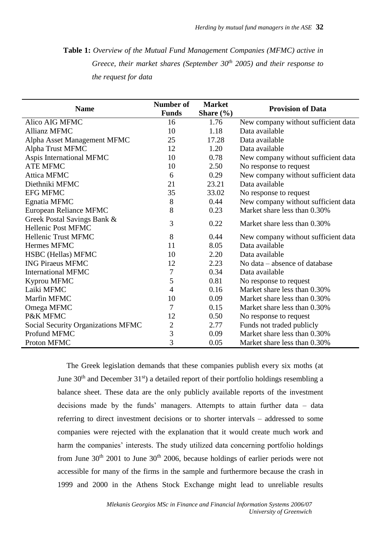**Table 1:** *Overview of the Mutual Fund Management Companies (MFMC) active in Greece, their market shares (September 30th 2005) and their response to the request for data*

| <b>Name</b>                               | Number of<br><b>Funds</b> | <b>Market</b>         | <b>Provision of Data</b>            |  |
|-------------------------------------------|---------------------------|-----------------------|-------------------------------------|--|
| Alico AIG MFMC                            | 16                        | Share $(\% )$<br>1.76 | New company without sufficient data |  |
| <b>Allianz MFMC</b>                       | 10                        | 1.18                  | Data available                      |  |
|                                           |                           | 17.28                 | Data available                      |  |
| Alpha Asset Management MFMC               | 25                        |                       |                                     |  |
| Alpha Trust MFMC                          | 12                        | 1.20                  | Data available                      |  |
| Aspis International MFMC                  | 10                        | 0.78                  | New company without sufficient data |  |
| <b>ATE MFMC</b>                           | 10                        | 2.50                  | No response to request              |  |
| <b>Attica MFMC</b>                        | 6                         | 0.29                  | New company without sufficient data |  |
| Diethniki MFMC                            | 21                        | 23.21                 | Data available                      |  |
| <b>EFG MFMC</b>                           | 35                        | 33.02                 | No response to request              |  |
| Egnatia MFMC                              | 8                         | 0.44                  | New company without sufficient data |  |
| European Reliance MFMC                    | 8                         | 0.23                  | Market share less than 0.30%        |  |
| Greek Postal Savings Bank &               | 3                         | 0.22                  | Market share less than 0.30%        |  |
| <b>Hellenic Post MFMC</b>                 |                           |                       |                                     |  |
| <b>Hellenic Trust MFMC</b>                | 8                         | 0.44                  | New company without sufficient data |  |
| Hermes MFMC                               | 11                        | 8.05                  | Data available                      |  |
| HSBC (Hellas) MFMC                        | 10                        | 2.20                  | Data available                      |  |
| <b>ING Piraeus MFMC</b>                   | 12                        | 2.23                  | No data – absence of database       |  |
| <b>International MFMC</b>                 | 7                         | 0.34                  | Data available                      |  |
| Kyprou MFMC                               | 5                         | 0.81                  | No response to request              |  |
| Laiki MFMC                                | $\overline{4}$            | 0.16                  | Market share less than 0.30%        |  |
| Marfin MFMC                               | 10                        | 0.09                  | Market share less than 0.30%        |  |
| Omega MFMC                                | 7                         | 0.15                  | Market share less than 0.30%        |  |
| P&K MFMC                                  | 12                        | 0.50                  | No response to request              |  |
| <b>Social Security Organizations MFMC</b> | $\overline{2}$            | 2.77                  | Funds not traded publicly           |  |
| Profund MFMC                              | 3                         | 0.09                  | Market share less than 0.30%        |  |
| Proton MFMC                               | 3                         | 0.05                  | Market share less than 0.30%        |  |

The Greek legislation demands that these companies publish every six moths (at June  $30<sup>th</sup>$  and December  $31<sup>st</sup>$ ) a detailed report of their portfolio holdings resembling a balance sheet. These data are the only publicly available reports of the investment decisions made by the funds' managers. Attempts to attain further data – data referring to direct investment decisions or to shorter intervals – addressed to some companies were rejected with the explanation that it would create much work and harm the companies' interests. The study utilized data concerning portfolio holdings from June  $30<sup>th</sup>$  2001 to June  $30<sup>th</sup>$  2006, because holdings of earlier periods were not accessible for many of the firms in the sample and furthermore because the crash in 1999 and 2000 in the Athens Stock Exchange might lead to unreliable results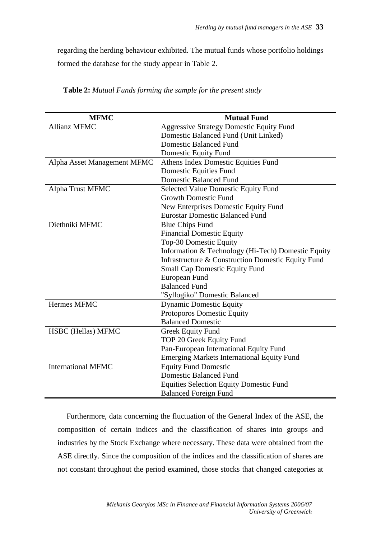regarding the herding behaviour exhibited. The mutual funds whose portfolio holdings formed the database for the study appear in Table 2.

| <b>MFMC</b>                 | <b>Mutual Fund</b>                                 |  |
|-----------------------------|----------------------------------------------------|--|
| <b>Allianz MFMC</b>         | <b>Aggressive Strategy Domestic Equity Fund</b>    |  |
|                             | Domestic Balanced Fund (Unit Linked)               |  |
|                             | <b>Domestic Balanced Fund</b>                      |  |
|                             | Domestic Equity Fund                               |  |
| Alpha Asset Management MFMC | Athens Index Domestic Equities Fund                |  |
|                             | Domestic Equities Fund                             |  |
|                             | <b>Domestic Balanced Fund</b>                      |  |
| Alpha Trust MFMC            | <b>Selected Value Domestic Equity Fund</b>         |  |
|                             | <b>Growth Domestic Fund</b>                        |  |
|                             | New Enterprises Domestic Equity Fund               |  |
|                             | <b>Eurostar Domestic Balanced Fund</b>             |  |
| Diethniki MFMC              | <b>Blue Chips Fund</b>                             |  |
|                             | <b>Financial Domestic Equity</b>                   |  |
|                             | Top-30 Domestic Equity                             |  |
|                             | Information & Technology (Hi-Tech) Domestic Equity |  |
|                             | Infrastructure & Construction Domestic Equity Fund |  |
|                             | <b>Small Cap Domestic Equity Fund</b>              |  |
|                             | European Fund                                      |  |
|                             | <b>Balanced Fund</b>                               |  |
|                             | "Syllogiko" Domestic Balanced                      |  |
| Hermes MFMC                 | <b>Dynamic Domestic Equity</b>                     |  |
|                             | Protoporos Domestic Equity                         |  |
|                             | <b>Balanced Domestic</b>                           |  |
| HSBC (Hellas) MFMC          | <b>Greek Equity Fund</b>                           |  |
|                             | TOP 20 Greek Equity Fund                           |  |
|                             | Pan-European International Equity Fund             |  |
|                             | <b>Emerging Markets International Equity Fund</b>  |  |
| <b>International MFMC</b>   | <b>Equity Fund Domestic</b>                        |  |
|                             | <b>Domestic Balanced Fund</b>                      |  |
|                             | <b>Equities Selection Equity Domestic Fund</b>     |  |
|                             | <b>Balanced Foreign Fund</b>                       |  |

**Table 2:** *Mutual Funds forming the sample for the present study*

Furthermore, data concerning the fluctuation of the General Index of the ASE, the composition of certain indices and the classification of shares into groups and industries by the Stock Exchange where necessary. These data were obtained from the ASE directly. Since the composition of the indices and the classification of shares are not constant throughout the period examined, those stocks that changed categories at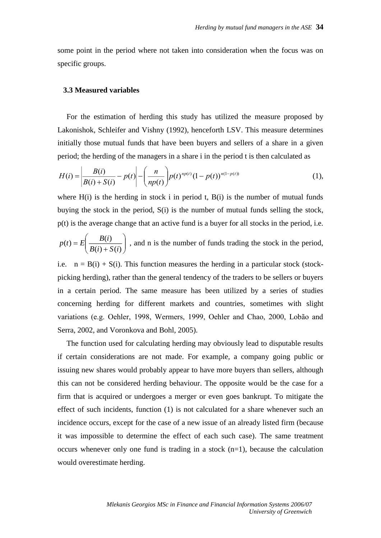some point in the period where not taken into consideration when the focus was on specific groups.

#### **3.3 Measured variables**

For the estimation of herding this study has utilized the measure proposed by Lakonishok, Schleifer and Vishny (1992), henceforth LSV. This measure determines initially those mutual funds that have been buyers and sellers of a share in a given period; the herding of the managers in a share i in the period t is then calculated as

$$
H(i) = \left| \frac{B(i)}{B(i) + S(i)} - p(t) \right| - \left( \frac{n}{np(t)} \right) p(t)^{np(t)} (1 - p(t))^{n(1 - p(t))}
$$
 (1),

where  $H(i)$  is the herding in stock i in period t,  $B(i)$  is the number of mutual funds buying the stock in the period, S(i) is the number of mutual funds selling the stock, p(t) is the average change that an active fund is a buyer for all stocks in the period, i.e.

$$
p(t) = E\left(\frac{B(i)}{B(i) + S(i)}\right)
$$
, and n is the number of funds trading the stock in the period,

i.e.  $n = B(i) + S(i)$ . This function measures the herding in a particular stock (stockpicking herding), rather than the general tendency of the traders to be sellers or buyers in a certain period. The same measure has been utilized by a series of studies concerning herding for different markets and countries, sometimes with slight variations (e.g. Oehler, 1998, Wermers, 1999, Oehler and Chao, 2000, Lobão and Serra, 2002, and Voronkova and Bohl, 2005).

The function used for calculating herding may obviously lead to disputable results if certain considerations are not made. For example, a company going public or issuing new shares would probably appear to have more buyers than sellers, although this can not be considered herding behaviour. The opposite would be the case for a firm that is acquired or undergoes a merger or even goes bankrupt. To mitigate the effect of such incidents, function (1) is not calculated for a share whenever such an incidence occurs, except for the case of a new issue of an already listed firm (because it was impossible to determine the effect of each such case). The same treatment occurs whenever only one fund is trading in a stock (n=1), because the calculation would overestimate herding.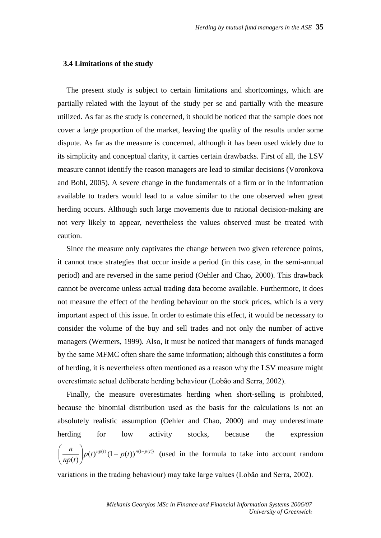#### **3.4 Limitations of the study**

The present study is subject to certain limitations and shortcomings, which are partially related with the layout of the study per se and partially with the measure utilized. As far as the study is concerned, it should be noticed that the sample does not cover a large proportion of the market, leaving the quality of the results under some dispute. As far as the measure is concerned, although it has been used widely due to its simplicity and conceptual clarity, it carries certain drawbacks. First of all, the LSV measure cannot identify the reason managers are lead to similar decisions (Voronkova and Bohl, 2005). A severe change in the fundamentals of a firm or in the information available to traders would lead to a value similar to the one observed when great herding occurs. Although such large movements due to rational decision-making are not very likely to appear, nevertheless the values observed must be treated with caution.

Since the measure only captivates the change between two given reference points, it cannot trace strategies that occur inside a period (in this case, in the semi-annual period) and are reversed in the same period (Oehler and Chao, 2000). This drawback cannot be overcome unless actual trading data become available. Furthermore, it does not measure the effect of the herding behaviour on the stock prices, which is a very important aspect of this issue. In order to estimate this effect, it would be necessary to consider the volume of the buy and sell trades and not only the number of active managers (Wermers, 1999). Also, it must be noticed that managers of funds managed by the same MFMC often share the same information; although this constitutes a form of herding, it is nevertheless often mentioned as a reason why the LSV measure might overestimate actual deliberate herding behaviour (Lobão and Serra, 2002).

Finally, the measure overestimates herding when short-selling is prohibited, because the binomial distribution used as the basis for the calculations is not an absolutely realistic assumption (Oehler and Chao, 2000) and may underestimate herding for low activity stocks, because the expression  $(t)^{np(t)}(1-p(t))^{n(1-p(t))}$  $(t)$  $p(t)^{np(t)}(1-p(t))^{n(1-p(t))}$ *np t*  $\frac{n}{p(t)}$  $p(t)^{np(t)}(1-p(t))^{n(1-t)}$  $\backslash$  $\overline{\phantom{a}}$ l ſ (used in the formula to take into account random variations in the trading behaviour) may take large values (Lobão and Serra, 2002).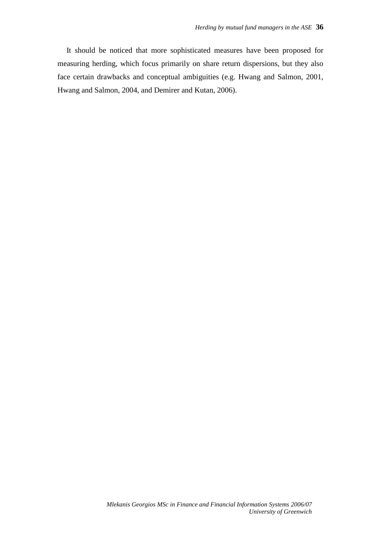It should be noticed that more sophisticated measures have been proposed for measuring herding, which focus primarily on share return dispersions, but they also face certain drawbacks and conceptual ambiguities (e.g. Hwang and Salmon, 2001, Hwang and Salmon, 2004, and Demirer and Kutan, 2006).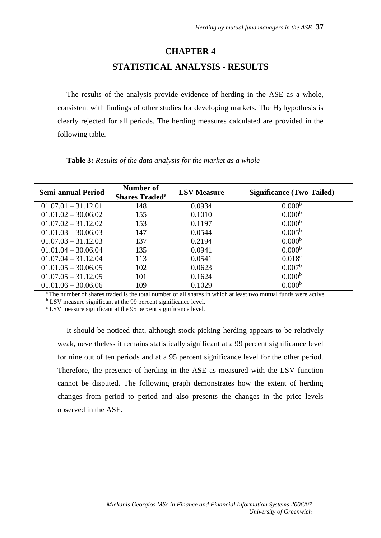#### **CHAPTER 4**

### **STATISTICAL ANALYSIS - RESULTS**

The results of the analysis provide evidence of herding in the ASE as a whole, consistent with findings of other studies for developing markets. The  $H_0$  hypothesis is clearly rejected for all periods. The herding measures calculated are provided in the following table.

| <b>Semi-annual Period</b> | Number of<br><b>Shares Traded<sup>a</sup></b> | <b>LSV</b> Measure | <b>Significance (Two-Tailed)</b> |
|---------------------------|-----------------------------------------------|--------------------|----------------------------------|
| $01.07.01 - 31.12.01$     | 148                                           | 0.0934             | 0.000 <sup>b</sup>               |
| $01.01.02 - 30.06.02$     | 155                                           | 0.1010             | 0.000 <sup>b</sup>               |
| $01.07.02 - 31.12.02$     | 153                                           | 0.1197             | 0.000 <sup>b</sup>               |
| $01.01.03 - 30.06.03$     | 147                                           | 0.0544             | $0.005^{\rm b}$                  |
| $01.07.03 - 31.12.03$     | 137                                           | 0.2194             | 0.000 <sup>b</sup>               |
| $01.01.04 - 30.06.04$     | 135                                           | 0.0941             | 0.000 <sup>b</sup>               |
| $01.07.04 - 31.12.04$     | 113                                           | 0.0541             | 0.018 <sup>c</sup>               |
| $01.01.05 - 30.06.05$     | 102                                           | 0.0623             | 0.007 <sup>b</sup>               |
| $01.07.05 - 31.12.05$     | 101                                           | 0.1624             | 0.000 <sup>b</sup>               |
| $01.01.06 - 30.06.06$     | 109                                           | 0.1029             | 0.000 <sup>b</sup>               |

**Table 3:** *Results of the data analysis for the market as a whole*

<sup>a</sup>The number of shares traded is the total number of all shares in which at least two mutual funds were active.

<sup>b</sup> LSV measure significant at the 99 percent significance level.

<sup>c</sup> LSV measure significant at the 95 percent significance level.

It should be noticed that, although stock-picking herding appears to be relatively weak, nevertheless it remains statistically significant at a 99 percent significance level for nine out of ten periods and at a 95 percent significance level for the other period. Therefore, the presence of herding in the ASE as measured with the LSV function cannot be disputed. The following graph demonstrates how the extent of herding changes from period to period and also presents the changes in the price levels observed in the ASE.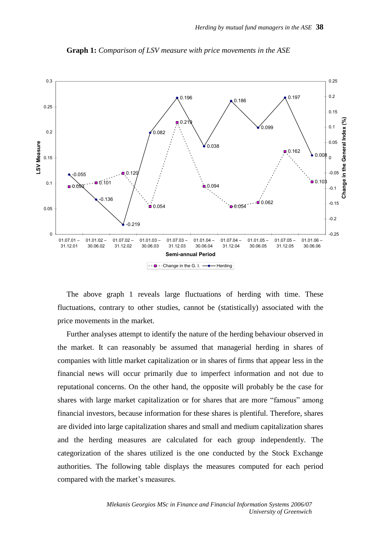

**Graph 1:** *Comparison of LSV measure with price movements in the ASE* 

The above graph 1 reveals large fluctuations of herding with time. These fluctuations, contrary to other studies, cannot be (statistically) associated with the price movements in the market.

Further analyses attempt to identify the nature of the herding behaviour observed in the market. It can reasonably be assumed that managerial herding in shares of companies with little market capitalization or in shares of firms that appear less in the financial news will occur primarily due to imperfect information and not due to reputational concerns. On the other hand, the opposite will probably be the case for shares with large market capitalization or for shares that are more "famous" among financial investors, because information for these shares is plentiful. Therefore, shares are divided into large capitalization shares and small and medium capitalization shares and the herding measures are calculated for each group independently. The categorization of the shares utilized is the one conducted by the Stock Exchange authorities. The following table displays the measures computed for each period compared with the market's measures.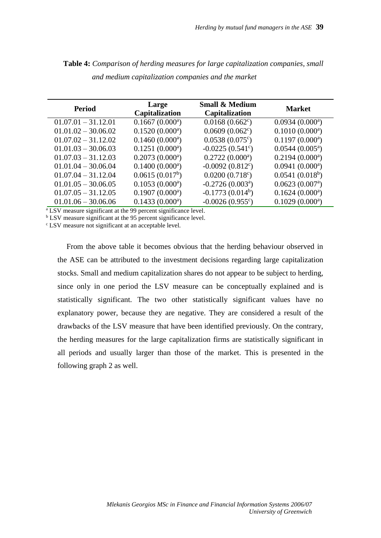| <b>Period</b>         | Large<br><b>Capitalization</b> | <b>Small &amp; Medium</b><br>Capitalization | <b>Market</b>               |
|-----------------------|--------------------------------|---------------------------------------------|-----------------------------|
| $01.07.01 - 31.12.01$ | 0.1667(0.000)                  | $0.0168(0.662^c)$                           | 0.0934(0.000)               |
| $01.01.02 - 30.06.02$ | 0.1520(0.000)                  | $0.0609(0.062^c)$                           | 0.1010(0.000)               |
| $01.07.02 - 31.12.02$ | 0.1460(0.000)                  | $0.0538(0.075^{\circ})$                     | $0.1197(0.000^a)$           |
| $01.01.03 - 30.06.03$ | 0.1251(0.000)                  | $-0.0225(0.541^{\circ})$                    | $0.0544(0.005^a)$           |
| $01.07.03 - 31.12.03$ | 0.2073(0.000)                  | 0.2722(0.000)                               | 0.2194(0.000)               |
| $01.01.04 - 30.06.04$ | 0.1400(0.000)                  | $-0.0092(0.812^{\circ})$                    | 0.0941(0.000)               |
| $01.07.04 - 31.12.04$ | 0.0615(0.017 <sup>b</sup> )    | $0.0200(0.718^{\circ})$                     | 0.0541(0.018 <sup>b</sup> ) |
| $01.01.05 - 30.06.05$ | 0.1053(0.000)                  | $-0.2726(0.003^a)$                          | 0.0623(0.007 <sup>a</sup> ) |
| $01.07.05 - 31.12.05$ | 0.1907(0.000)                  | $-0.1773(0.014b)$                           | 0.1624(0.000)               |
| $01.01.06 - 30.06.06$ | 0.1433(0.000)                  | $-0.0026(0.955^{\circ})$                    | 0.1029(0.000)               |

**Table 4:** *Comparison of herding measures for large capitalization companies, small and medium capitalization companies and the market* 

<sup>a</sup> LSV measure significant at the 99 percent significance level.

<sup>b</sup> LSV measure significant at the 95 percent significance level.

<sup>c</sup> LSV measure not significant at an acceptable level.

From the above table it becomes obvious that the herding behaviour observed in the ASE can be attributed to the investment decisions regarding large capitalization stocks. Small and medium capitalization shares do not appear to be subject to herding, since only in one period the LSV measure can be conceptually explained and is statistically significant. The two other statistically significant values have no explanatory power, because they are negative. They are considered a result of the drawbacks of the LSV measure that have been identified previously. On the contrary, the herding measures for the large capitalization firms are statistically significant in all periods and usually larger than those of the market. This is presented in the following graph 2 as well.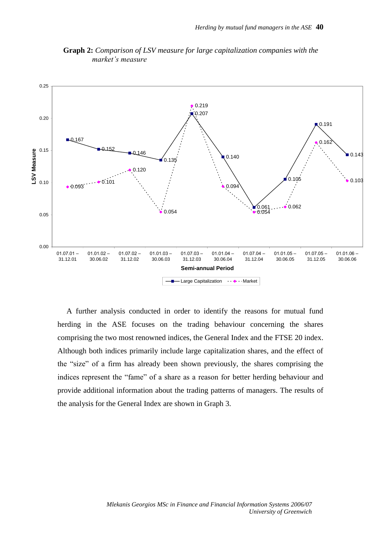

**Graph 2:** *Comparison of LSV measure for large capitalization companies with the market's measure*

A further analysis conducted in order to identify the reasons for mutual fund herding in the ASE focuses on the trading behaviour concerning the shares comprising the two most renowned indices, the General Index and the FTSE 20 index. Although both indices primarily include large capitalization shares, and the effect of the "size" of a firm has already been shown previously, the shares comprising the indices represent the "fame" of a share as a reason for better herding behaviour and provide additional information about the trading patterns of managers. The results of the analysis for the General Index are shown in Graph 3.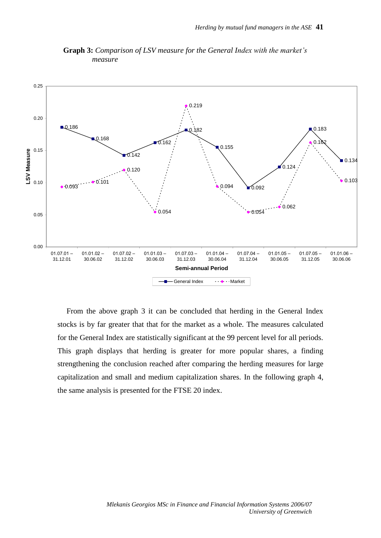

**Graph 3:** *Comparison of LSV measure for the General Index with the market's measure*

From the above graph 3 it can be concluded that herding in the General Index stocks is by far greater that that for the market as a whole. The measures calculated for the General Index are statistically significant at the 99 percent level for all periods. This graph displays that herding is greater for more popular shares, a finding strengthening the conclusion reached after comparing the herding measures for large capitalization and small and medium capitalization shares. In the following graph 4, the same analysis is presented for the FTSE 20 index.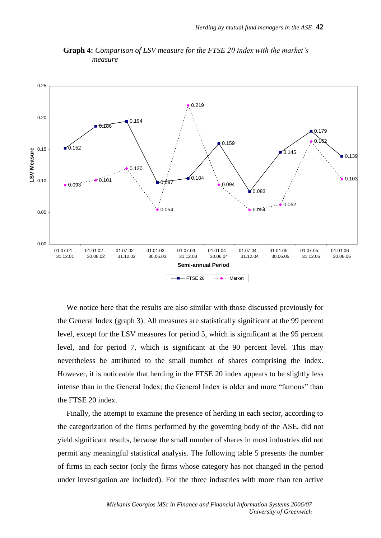

**Graph 4:** *Comparison of LSV measure for the FTSE 20 index with the market's measure*

We notice here that the results are also similar with those discussed previously for the General Index (graph 3). All measures are statistically significant at the 99 percent level, except for the LSV measures for period 5, which is significant at the 95 percent level, and for period 7, which is significant at the 90 percent level. This may nevertheless be attributed to the small number of shares comprising the index. However, it is noticeable that herding in the FTSE 20 index appears to be slightly less intense than in the General Index; the General Index is older and more "famous" than the FTSE 20 index.

Finally, the attempt to examine the presence of herding in each sector, according to the categorization of the firms performed by the governing body of the ASE, did not yield significant results, because the small number of shares in most industries did not permit any meaningful statistical analysis. The following table 5 presents the number of firms in each sector (only the firms whose category has not changed in the period under investigation are included). For the three industries with more than ten active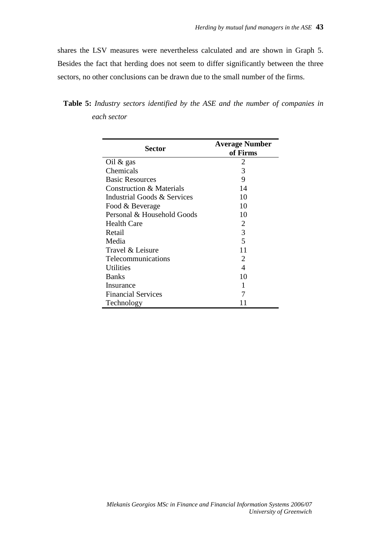shares the LSV measures were nevertheless calculated and are shown in Graph 5. Besides the fact that herding does not seem to differ significantly between the three sectors, no other conclusions can be drawn due to the small number of the firms.

| <b>Sector</b>               | <b>Average Number</b> |  |
|-----------------------------|-----------------------|--|
|                             | of Firms<br>2         |  |
| Oil $\&$ gas                |                       |  |
| Chemicals                   | 3                     |  |
| <b>Basic Resources</b>      | 9                     |  |
| Construction & Materials    | 14                    |  |
| Industrial Goods & Services | 10                    |  |
| Food & Beverage             | 10                    |  |
| Personal & Household Goods  | 10                    |  |
| <b>Health Care</b>          | 2                     |  |
| Retail                      | 3                     |  |
| Media                       | 5                     |  |
| Travel & Leisure            | 11                    |  |
| <b>Telecommunications</b>   | 2                     |  |
| <b>Utilities</b>            | 4                     |  |
| <b>Banks</b>                | 10                    |  |
| Insurance                   | 1                     |  |
| <b>Financial Services</b>   | 7                     |  |
| Technology                  |                       |  |

**Table 5:** *Industry sectors identified by the ASE and the number of companies in each sector*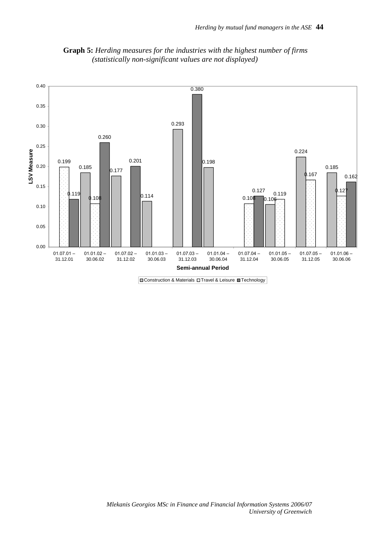

**Graph 5:** *Herding measures for the industries with the highest number of firms (statistically non-significant values are not displayed)*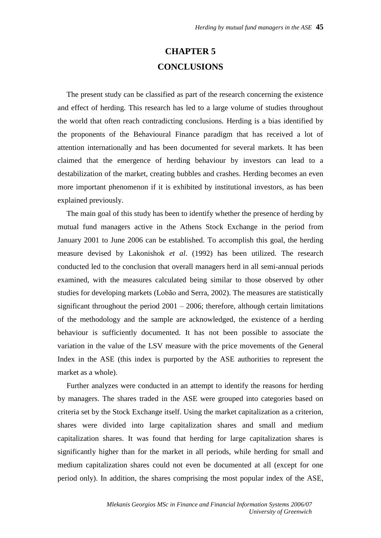## **CHAPTER 5 CONCLUSIONS**

The present study can be classified as part of the research concerning the existence and effect of herding. This research has led to a large volume of studies throughout the world that often reach contradicting conclusions. Herding is a bias identified by the proponents of the Behavioural Finance paradigm that has received a lot of attention internationally and has been documented for several markets. It has been claimed that the emergence of herding behaviour by investors can lead to a destabilization of the market, creating bubbles and crashes. Herding becomes an even more important phenomenon if it is exhibited by institutional investors, as has been explained previously.

The main goal of this study has been to identify whether the presence of herding by mutual fund managers active in the Athens Stock Exchange in the period from January 2001 to June 2006 can be established. To accomplish this goal, the herding measure devised by Lakonishok *et al*. (1992) has been utilized. The research conducted led to the conclusion that overall managers herd in all semi-annual periods examined, with the measures calculated being similar to those observed by other studies for developing markets (Lobão and Serra, 2002). The measures are statistically significant throughout the period  $2001 - 2006$ ; therefore, although certain limitations of the methodology and the sample are acknowledged, the existence of a herding behaviour is sufficiently documented. It has not been possible to associate the variation in the value of the LSV measure with the price movements of the General Index in the ASE (this index is purported by the ASE authorities to represent the market as a whole).

Further analyzes were conducted in an attempt to identify the reasons for herding by managers. The shares traded in the ASE were grouped into categories based on criteria set by the Stock Exchange itself. Using the market capitalization as a criterion, shares were divided into large capitalization shares and small and medium capitalization shares. It was found that herding for large capitalization shares is significantly higher than for the market in all periods, while herding for small and medium capitalization shares could not even be documented at all (except for one period only). In addition, the shares comprising the most popular index of the ASE,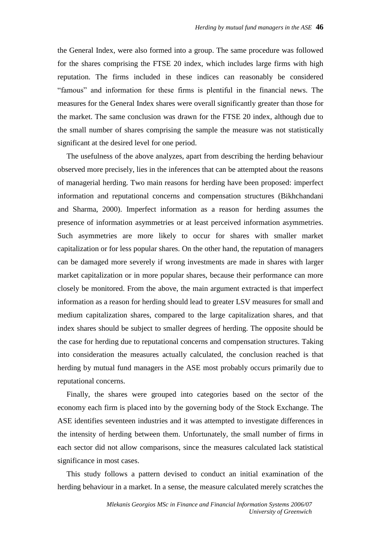the General Index, were also formed into a group. The same procedure was followed for the shares comprising the FTSE 20 index, which includes large firms with high reputation. The firms included in these indices can reasonably be considered "famous" and information for these firms is plentiful in the financial news. The measures for the General Index shares were overall significantly greater than those for the market. The same conclusion was drawn for the FTSE 20 index, although due to the small number of shares comprising the sample the measure was not statistically significant at the desired level for one period.

The usefulness of the above analyzes, apart from describing the herding behaviour observed more precisely, lies in the inferences that can be attempted about the reasons of managerial herding. Two main reasons for herding have been proposed: imperfect information and reputational concerns and compensation structures (Bikhchandani and Sharma, 2000). Imperfect information as a reason for herding assumes the presence of information asymmetries or at least perceived information asymmetries. Such asymmetries are more likely to occur for shares with smaller market capitalization or for less popular shares. On the other hand, the reputation of managers can be damaged more severely if wrong investments are made in shares with larger market capitalization or in more popular shares, because their performance can more closely be monitored. From the above, the main argument extracted is that imperfect information as a reason for herding should lead to greater LSV measures for small and medium capitalization shares, compared to the large capitalization shares, and that index shares should be subject to smaller degrees of herding. The opposite should be the case for herding due to reputational concerns and compensation structures. Taking into consideration the measures actually calculated, the conclusion reached is that herding by mutual fund managers in the ASE most probably occurs primarily due to reputational concerns.

Finally, the shares were grouped into categories based on the sector of the economy each firm is placed into by the governing body of the Stock Exchange. The ASE identifies seventeen industries and it was attempted to investigate differences in the intensity of herding between them. Unfortunately, the small number of firms in each sector did not allow comparisons, since the measures calculated lack statistical significance in most cases.

This study follows a pattern devised to conduct an initial examination of the herding behaviour in a market. In a sense, the measure calculated merely scratches the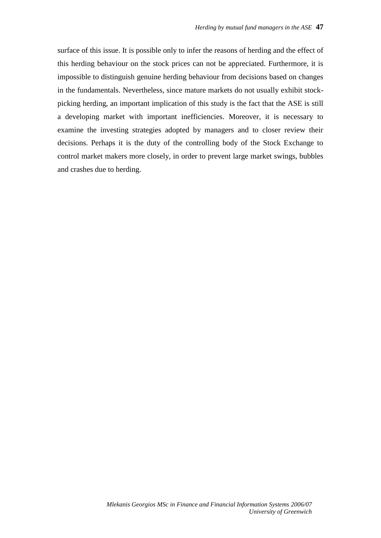surface of this issue. It is possible only to infer the reasons of herding and the effect of this herding behaviour on the stock prices can not be appreciated. Furthermore, it is impossible to distinguish genuine herding behaviour from decisions based on changes in the fundamentals. Nevertheless, since mature markets do not usually exhibit stockpicking herding, an important implication of this study is the fact that the ASE is still a developing market with important inefficiencies. Moreover, it is necessary to examine the investing strategies adopted by managers and to closer review their decisions. Perhaps it is the duty of the controlling body of the Stock Exchange to control market makers more closely, in order to prevent large market swings, bubbles and crashes due to herding.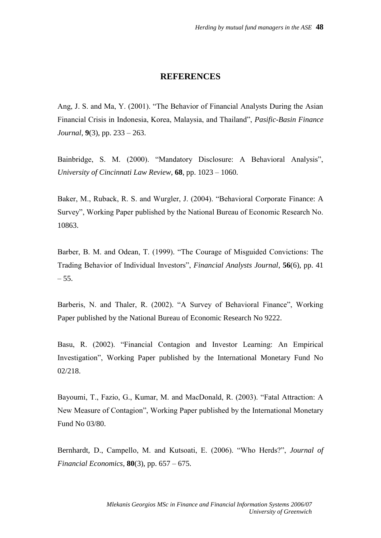#### **REFERENCES**

Ang, J. S. and Ma, Y. (2001). "The Behavior of Financial Analysts During the Asian Financial Crisis in Indonesia, Korea, Malaysia, and Thailand", *Pasific-Basin Finance Journal*, **9**(3), pp. 233 – 263.

Bainbridge, S. M. (2000). "Mandatory Disclosure: A Behavioral Analysis", *University of Cincinnati Law Review*, **68**, pp. 1023 – 1060.

Baker, M., Ruback, R. S. and Wurgler, J. (2004). "Behavioral Corporate Finance: A Survey", Working Paper published by the National Bureau of Economic Research No. 10863.

Barber, B. M. and Odean, T. (1999). "The Courage of Misguided Convictions: The Trading Behavior of Individual Investors", *Financial Analysts Journal*, **56**(6), pp. 41  $-55.$ 

Barberis, N. and Thaler, R. (2002). "A Survey of Behavioral Finance", Working Paper published by the National Bureau of Economic Research No 9222.

Basu, R. (2002). "Financial Contagion and Investor Learning: An Empirical Investigation", Working Paper published by the International Monetary Fund No 02/218.

Bayoumi, T., Fazio, G., Kumar, M. and MacDonald, R. (2003). "Fatal Attraction: A New Measure of Contagion", Working Paper published by the International Monetary Fund No 03/80.

Bernhardt, D., Campello, M. and Kutsoati, E. (2006). "Who Herds?", *Journal of Financial Economics*, **80**(3), pp. 657 – 675.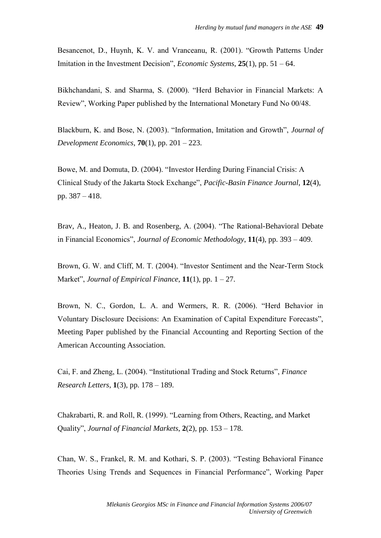Besancenot, D., Huynh, K. V. and Vranceanu, R. (2001). "Growth Patterns Under Imitation in the Investment Decision", *Economic Systems*, **25**(1), pp. 51 – 64.

Bikhchandani, S. and Sharma, S. (2000). "Herd Behavior in Financial Markets: A Review", Working Paper published by the International Monetary Fund No 00/48.

Blackburn, K. and Bose, N. (2003). "Information, Imitation and Growth", *Journal of Development Economics*, **70**(1), pp. 201 – 223.

Bowe, M. and Domuta, D. (2004). "Investor Herding During Financial Crisis: A Clinical Study of the Jakarta Stock Exchange", *Pacific-Basin Finance Journal*, **12**(4), pp. 387 – 418.

Brav, A., Heaton, J. B. and Rosenberg, A. (2004). "The Rational-Behavioral Debate in Financial Economics", *Journal of Economic Methodology*, **11**(4), pp. 393 – 409.

Brown, G. W. and Cliff, M. T. (2004). "Investor Sentiment and the Near-Term Stock Market", *Journal of Empirical Finance*, **11**(1), pp. 1 – 27.

Brown, N. C., Gordon, L. A. and Wermers, R. R. (2006). "Herd Behavior in Voluntary Disclosure Decisions: An Examination of Capital Expenditure Forecasts", Meeting Paper published by the Financial Accounting and Reporting Section of the American Accounting Association.

Cai, F. and Zheng, L. (2004). "Institutional Trading and Stock Returns", *Finance Research Letters*, **1**(3), pp. 178 – 189.

Chakrabarti, R. and Roll, R. (1999). "Learning from Others, Reacting, and Market Quality", *Journal of Financial Markets*, **2**(2), pp. 153 – 178.

Chan, W. S., Frankel, R. M. and Kothari, S. P. (2003). "Testing Behavioral Finance Theories Using Trends and Sequences in Financial Performance", Working Paper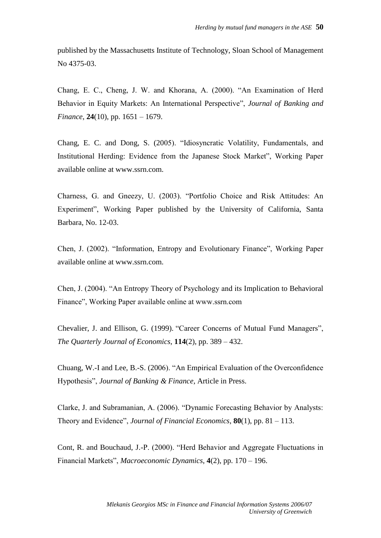published by the Massachusetts Institute of Technology, Sloan School of Management No 4375-03.

Chang, E. C., Cheng, J. W. and Khorana, A. (2000). "An Examination of Herd Behavior in Equity Markets: An International Perspective", *Journal of Banking and Finance*, **24**(10), pp. 1651 – 1679.

Chang, E. C. and Dong, S. (2005). "Idiosyncratic Volatility, Fundamentals, and Institutional Herding: Evidence from the Japanese Stock Market", Working Paper available online at www.ssrn.com.

Charness, G. and Gneezy, U. (2003). "Portfolio Choice and Risk Attitudes: An Experiment", Working Paper published by the University of California, Santa Barbara, No. 12-03.

Chen, J. (2002). "Information, Entropy and Evolutionary Finance", Working Paper available online at www.ssrn.com.

Chen, J. (2004). "An Entropy Theory of Psychology and its Implication to Behavioral Finance", Working Paper available online at www.ssrn.com

Chevalier, J. and Ellison, G. (1999). "Career Concerns of Mutual Fund Managers", *The Quarterly Journal of Economics*, **114**(2), pp. 389 – 432.

Chuang, W.-I and Lee, B.-S. (2006). "An Empirical Evaluation of the Overconfidence Hypothesis", *Journal of Banking & Finance*, Article in Press.

Clarke, J. and Subramanian, A. (2006). "Dynamic Forecasting Behavior by Analysts: Theory and Evidence", *Journal of Financial Economics*, **80**(1), pp. 81 – 113.

Cont, R. and Bouchaud, J.-P. (2000). "Herd Behavior and Aggregate Fluctuations in Financial Markets", *Macroeconomic Dynamics*, **4**(2), pp. 170 – 196.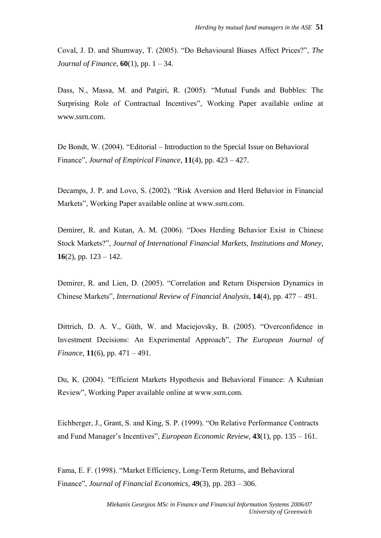Coval, J. D. and Shumway, T. (2005). "Do Behavioural Biases Affect Prices?", *The Journal of Finance*, **60**(1), pp. 1 – 34.

Dass, N., Massa, M. and Patgiri, R. (2005). "Mutual Funds and Bubbles: The Surprising Role of Contractual Incentives", Working Paper available online at www.ssrn.com.

De Bondt, W. (2004). "Editorial – Introduction to the Special Issue on Behavioral Finance", *Journal of Empirical Finance*, **11**(4), pp. 423 – 427.

Decamps, J. P. and Lovo, S. (2002). "Risk Aversion and Herd Behavior in Financial Markets", Working Paper available online at www.ssrn.com.

Demirer, R. and Kutan, A. M. (2006). "Does Herding Behavior Exist in Chinese Stock Markets?", *Journal of International Financial Markets, Institutions and Money*, **16**(2), pp.  $123 - 142$ .

Demirer, R. and Lien, D. (2005). "Correlation and Return Dispersion Dynamics in Chinese Markets", *International Review of Financial Analysis*, **14**(4), pp. 477 – 491.

Dittrich, D. A. V., Güth, W. and Maciejovsky, B. (2005). "Overconfidence in Investment Decisions: An Experimental Approach", *The European Journal of Finance*, **11**(6), pp. 471 – 491.

Du, K. (2004). "Efficient Markets Hypothesis and Behavioral Finance: A Kuhnian Review", Working Paper available online at www.ssrn.com.

Eichberger, J., Grant, S. and King, S. P. (1999). "On Relative Performance Contracts and Fund Manager's Incentives", *European Economic Review*, **43**(1), pp. 135 – 161.

Fama, E. F. (1998). "Market Efficiency, Long-Term Returns, and Behavioral Finance", *Journal of Financial Economics*, **49**(3), pp. 283 – 306.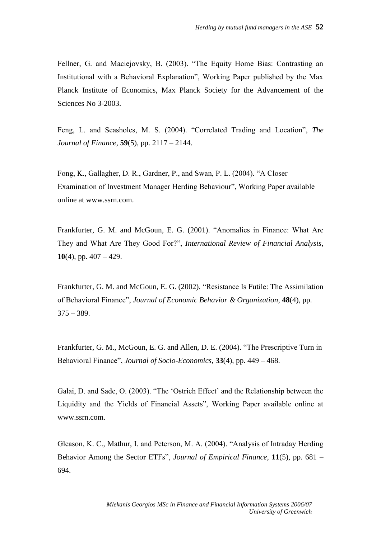Fellner, G. and Maciejovsky, B. (2003). "The Equity Home Bias: Contrasting an Institutional with a Behavioral Explanation", Working Paper published by the Max Planck Institute of Economics, Max Planck Society for the Advancement of the Sciences No 3-2003.

Feng, L. and Seasholes, M. S. (2004). "Correlated Trading and Location", *The Journal of Finance*, **59**(5), pp. 2117 – 2144.

Fong, K., Gallagher, D. R., Gardner, P., and Swan, P. L. (2004). "A Closer Examination of Investment Manager Herding Behaviour", Working Paper available online at www.ssrn.com.

Frankfurter, G. M. and McGoun, E. G. (2001). "Anomalies in Finance: What Are They and What Are They Good For?", *International Review of Financial Analysis*, **10**(4), pp. 407 – 429.

Frankfurter, G. M. and McGoun, E. G. (2002). "Resistance Is Futile: The Assimilation of Behavioral Finance", *Journal of Economic Behavior & Organization*, **48**(4), pp.  $375 - 389.$ 

Frankfurter, G. M., McGoun, E. G. and Allen, D. E. (2004). "The Prescriptive Turn in Behavioral Finance", *Journal of Socio-Economics*, **33**(4), pp. 449 – 468.

Galai, D. and Sade, O. (2003). "The 'Ostrich Effect' and the Relationship between the Liquidity and the Yields of Financial Assets", Working Paper available online at www.ssrn.com.

Gleason, K. C., Mathur, I. and Peterson, M. A. (2004). "Analysis of Intraday Herding Behavior Among the Sector ETFs", *Journal of Empirical Finance*, **11**(5), pp. 681 – 694.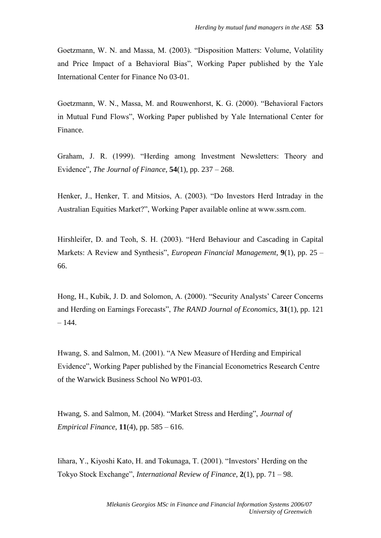Goetzmann, W. N. and Massa, M. (2003). "Disposition Matters: Volume, Volatility and Price Impact of a Behavioral Bias", Working Paper published by the Yale International Center for Finance No 03-01.

Goetzmann, W. N., Massa, M. and Rouwenhorst, K. G. (2000). "Behavioral Factors in Mutual Fund Flows", Working Paper published by Yale International Center for Finance.

Graham, J. R. (1999). "Herding among Investment Newsletters: Theory and Evidence", *The Journal of Finance*, **54**(1), pp. 237 – 268.

Henker, J., Henker, T. and Mitsios, A. (2003). "Do Investors Herd Intraday in the Australian Equities Market?", Working Paper available online at www.ssrn.com.

Hirshleifer, D. and Teoh, S. H. (2003). "Herd Behaviour and Cascading in Capital Markets: A Review and Synthesis", *European Financial Management*, **9**(1), pp. 25 – 66.

Hong, H., Kubik, J. D. and Solomon, A. (2000). "Security Analysts' Career Concerns and Herding on Earnings Forecasts", *The RAND Journal of Economics*, **31**(1), pp. 121  $-144.$ 

Hwang, S. and Salmon, M. (2001). "A New Measure of Herding and Empirical Evidence", Working Paper published by the Financial Econometrics Research Centre of the Warwick Business School No WP01-03.

Hwang, S. and Salmon, M. (2004). "Market Stress and Herding", *Journal of Empirical Finance*, **11**(4), pp. 585 – 616.

Iihara, Y., Kiyoshi Kato, H. and Tokunaga, T. (2001). "Investors' Herding on the Tokyo Stock Exchange", *International Review of Finance*, **2**(1), pp. 71 – 98.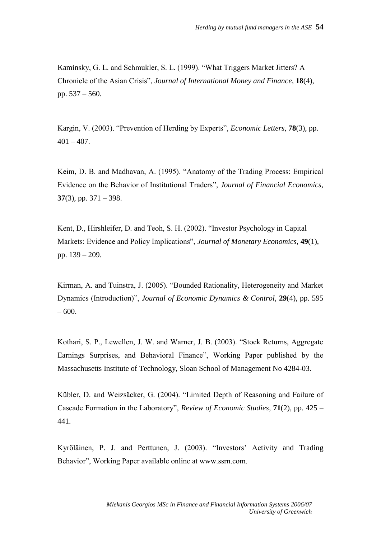Kaminsky, G. L. and Schmukler, S. L. (1999). "What Triggers Market Jitters? A Chronicle of the Asian Crisis", *Journal of International Money and Finance*, **18**(4), pp. 537 – 560.

Kargin, V. (2003). "Prevention of Herding by Experts", *Economic Letters*, **78**(3), pp.  $401 - 407$ .

Keim, D. B. and Madhavan, A. (1995). "Anatomy of the Trading Process: Empirical Evidence on the Behavior of Institutional Traders", *Journal of Financial Economics*, **37**(3), pp. 371 – 398.

Kent, D., Hirshleifer, D. and Teoh, S. H. (2002). "Investor Psychology in Capital Markets: Evidence and Policy Implications", *Journal of Monetary Economics*, **49**(1), pp. 139 – 209.

Kirman, A. and Tuinstra, J. (2005). "Bounded Rationality, Heterogeneity and Market Dynamics (Introduction)", *Journal of Economic Dynamics & Control*, **29**(4), pp. 595 – 600.

Kothari, S. P., Lewellen, J. W. and Warner, J. B. (2003). "Stock Returns, Aggregate Earnings Surprises, and Behavioral Finance", Working Paper published by the Massachusetts Institute of Technology, Sloan School of Management No 4284-03.

Kübler, D. and Weizsäcker, G. (2004). "Limited Depth of Reasoning and Failure of Cascade Formation in the Laboratory", *Review of Economic Studies*, **71**(2), pp. 425 – 441.

Kyröläinen, P. J. and Perttunen, J. (2003). "Investors' Activity and Trading Behavior", Working Paper available online at www.ssrn.com.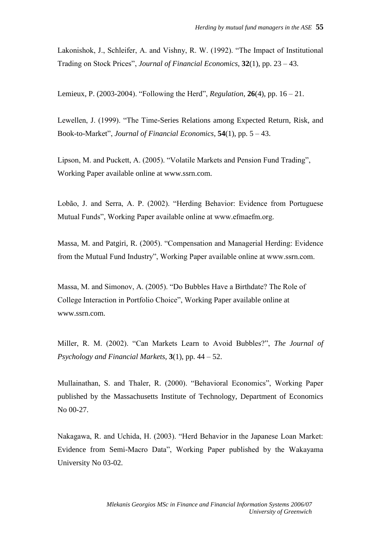Lakonishok, J., Schleifer, A. and Vishny, R. W. (1992). "The Impact of Institutional Trading on Stock Prices", *Journal of Financial Economics*, **32**(1), pp. 23 – 43.

Lemieux, P. (2003-2004). "Following the Herd", *Regulation*, **26**(4), pp. 16 – 21.

Lewellen, J. (1999). "The Time-Series Relations among Expected Return, Risk, and Book-to-Market", *Journal of Financial Economics*, **54**(1), pp. 5 – 43.

Lipson, M. and Puckett, A. (2005). "Volatile Markets and Pension Fund Trading", Working Paper available online at www.ssrn.com.

Lobão, J. and Serra, A. P. (2002). "Herding Behavior: Evidence from Portuguese Mutual Funds", Working Paper available online at www.efmaefm.org.

Massa, M. and Patgiri, R. (2005). "Compensation and Managerial Herding: Evidence from the Mutual Fund Industry", Working Paper available online at www.ssrn.com.

Massa, M. and Simonov, A. (2005). "Do Bubbles Have a Birthdate? The Role of College Interaction in Portfolio Choice", Working Paper available online at www.ssrn.com.

Miller, R. M. (2002). "Can Markets Learn to Avoid Bubbles?", *The Journal of Psychology and Financial Markets*, **3**(1), pp. 44 – 52.

Mullainathan, S. and Thaler, R. (2000). "Behavioral Economics", Working Paper published by the Massachusetts Institute of Technology, Department of Economics No 00-27.

Nakagawa, R. and Uchida, H. (2003). "Herd Behavior in the Japanese Loan Market: Evidence from Semi-Macro Data", Working Paper published by the Wakayama University No 03-02.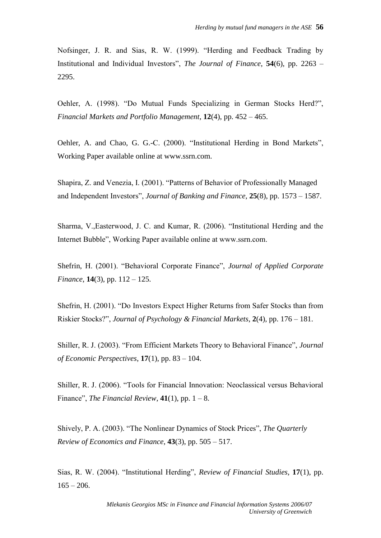Nofsinger, J. R. and Sias, R. W. (1999). "Herding and Feedback Trading by Institutional and Individual Investors", *The Journal of Finance*, **54**(6), pp. 2263 – 2295.

Oehler, A. (1998). "Do Mutual Funds Specializing in German Stocks Herd?", *Financial Markets and Portfolio Management*, **12**(4), pp. 452 – 465.

Oehler, A. and Chao, G. G.-C. (2000). "Institutional Herding in Bond Markets", Working Paper available online at www.ssrn.com.

Shapira, Z. and Venezia, I. (2001). "Patterns of Behavior of Professionally Managed and Independent Investors", *Journal of Banking and Finance*, **25**(8), pp. 1573 – 1587.

Sharma, V.,Easterwood, J. C. and Kumar, R. (2006). "Institutional Herding and the Internet Bubble", Working Paper available online at www.ssrn.com.

Shefrin, H. (2001). "Behavioral Corporate Finance", *Journal of Applied Corporate Finance*, **14**(3), pp. 112 – 125.

Shefrin, H. (2001). "Do Investors Expect Higher Returns from Safer Stocks than from Riskier Stocks?", *Journal of Psychology & Financial Markets*, **2**(4), pp. 176 – 181.

Shiller, R. J. (2003). "From Efficient Markets Theory to Behavioral Finance", *Journal of Economic Perspectives*, **17**(1), pp. 83 – 104.

Shiller, R. J. (2006). "Tools for Financial Innovation: Neoclassical versus Behavioral Finance", *The Financial Review*,  $41(1)$ , pp.  $1 - 8$ .

Shively, P. A. (2003). "The Nonlinear Dynamics of Stock Prices", *The Quarterly Review of Economics and Finance*, **43**(3), pp. 505 – 517.

Sias, R. W. (2004). "Institutional Herding", *Review of Financial Studies*, **17**(1), pp.  $165 - 206.$